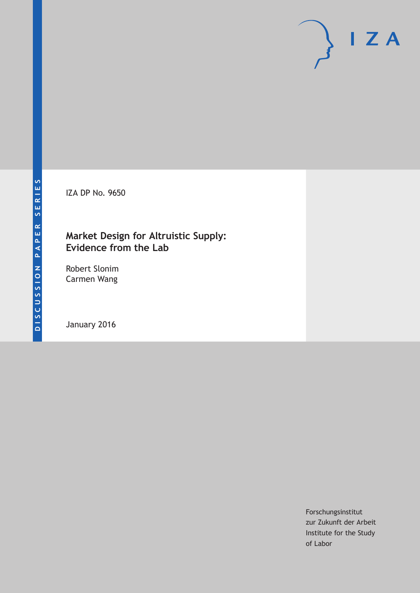IZA DP No. 9650

## **Market Design for Altruistic Supply: Evidence from the Lab**

Robert Slonim Carmen Wang

January 2016

Forschungsinstitut zur Zukunft der Arbeit Institute for the Study of Labor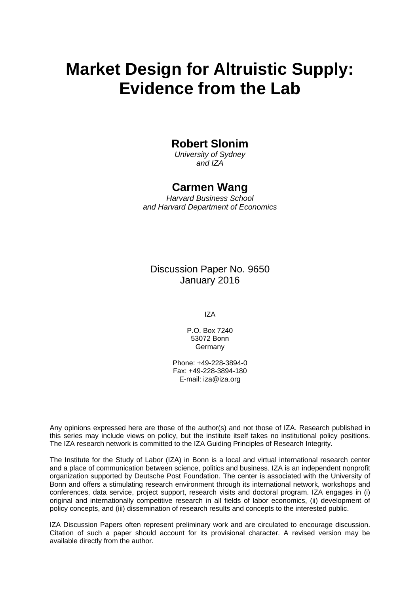# **Market Design for Altruistic Supply: Evidence from the Lab**

## **Robert Slonim**

*University of Sydney and IZA* 

### **Carmen Wang**

*Harvard Business School and Harvard Department of Economics* 

Discussion Paper No. 9650 January 2016

IZA

P.O. Box 7240 53072 Bonn Germany

Phone: +49-228-3894-0 Fax: +49-228-3894-180 E-mail: iza@iza.org

Any opinions expressed here are those of the author(s) and not those of IZA. Research published in this series may include views on policy, but the institute itself takes no institutional policy positions. The IZA research network is committed to the IZA Guiding Principles of Research Integrity.

The Institute for the Study of Labor (IZA) in Bonn is a local and virtual international research center and a place of communication between science, politics and business. IZA is an independent nonprofit organization supported by Deutsche Post Foundation. The center is associated with the University of Bonn and offers a stimulating research environment through its international network, workshops and conferences, data service, project support, research visits and doctoral program. IZA engages in (i) original and internationally competitive research in all fields of labor economics, (ii) development of policy concepts, and (iii) dissemination of research results and concepts to the interested public.

IZA Discussion Papers often represent preliminary work and are circulated to encourage discussion. Citation of such a paper should account for its provisional character. A revised version may be available directly from the author.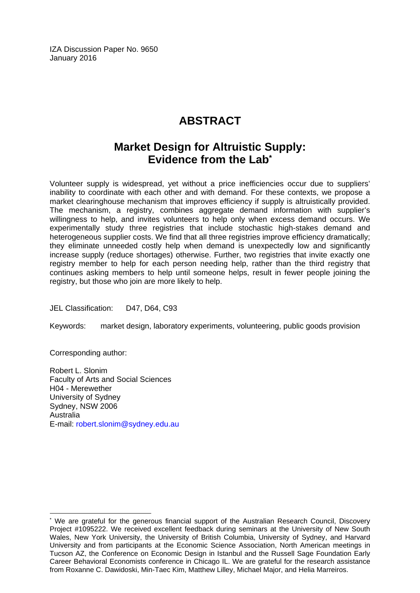IZA Discussion Paper No. 9650 January 2016

# **ABSTRACT**

# **Market Design for Altruistic Supply: Evidence from the Lab\***

Volunteer supply is widespread, yet without a price inefficiencies occur due to suppliers' inability to coordinate with each other and with demand. For these contexts, we propose a market clearinghouse mechanism that improves efficiency if supply is altruistically provided. The mechanism, a registry, combines aggregate demand information with supplier's willingness to help, and invites volunteers to help only when excess demand occurs. We experimentally study three registries that include stochastic high-stakes demand and heterogeneous supplier costs. We find that all three registries improve efficiency dramatically; they eliminate unneeded costly help when demand is unexpectedly low and significantly increase supply (reduce shortages) otherwise. Further, two registries that invite exactly one registry member to help for each person needing help, rather than the third registry that continues asking members to help until someone helps, result in fewer people joining the registry, but those who join are more likely to help.

JEL Classification: D47, D64, C93

Keywords: market design, laboratory experiments, volunteering, public goods provision

Corresponding author:

 $\overline{a}$ 

Robert L. Slonim Faculty of Arts and Social Sciences H04 - Merewether University of Sydney Sydney, NSW 2006 Australia E-mail: robert.slonim@sydney.edu.au

<sup>\*</sup> We are grateful for the generous financial support of the Australian Research Council, Discovery Project #1095222. We received excellent feedback during seminars at the University of New South Wales, New York University, the University of British Columbia, University of Sydney, and Harvard University and from participants at the Economic Science Association, North American meetings in Tucson AZ, the Conference on Economic Design in Istanbul and the Russell Sage Foundation Early Career Behavioral Economists conference in Chicago IL. We are grateful for the research assistance from Roxanne C. Dawidoski, Min-Taec Kim, Matthew Lilley, Michael Major, and Helia Marreiros.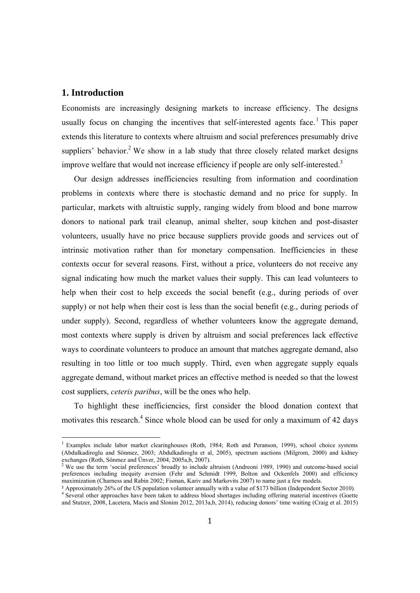#### **1. Introduction**

 

Economists are increasingly designing markets to increase efficiency. The designs usually focus on changing the incentives that self-interested agents face.<sup>1</sup> This paper extends this literature to contexts where altruism and social preferences presumably drive suppliers' behavior.<sup>2</sup> We show in a lab study that three closely related market designs improve welfare that would not increase efficiency if people are only self-interested.<sup>3</sup>

Our design addresses inefficiencies resulting from information and coordination problems in contexts where there is stochastic demand and no price for supply. In particular, markets with altruistic supply, ranging widely from blood and bone marrow donors to national park trail cleanup, animal shelter, soup kitchen and post-disaster volunteers, usually have no price because suppliers provide goods and services out of intrinsic motivation rather than for monetary compensation. Inefficiencies in these contexts occur for several reasons. First, without a price, volunteers do not receive any signal indicating how much the market values their supply. This can lead volunteers to help when their cost to help exceeds the social benefit (e.g., during periods of over supply) or not help when their cost is less than the social benefit (e.g., during periods of under supply). Second, regardless of whether volunteers know the aggregate demand, most contexts where supply is driven by altruism and social preferences lack effective ways to coordinate volunteers to produce an amount that matches aggregate demand, also resulting in too little or too much supply. Third, even when aggregate supply equals aggregate demand, without market prices an effective method is needed so that the lowest cost suppliers, *ceteris paribus*, will be the ones who help.

To highlight these inefficiencies, first consider the blood donation context that motivates this research.<sup>4</sup> Since whole blood can be used for only a maximum of 42 days

<sup>&</sup>lt;sup>1</sup> Examples include labor market clearinghouses (Roth, 1984; Roth and Peranson, 1999), school choice systems (Abdulkadiroglu and Sönmez, 2003; Abdulkadiroglu et al, 2005), spectrum auctions (Milgrom, 2000) and kidney exchanges (Roth, Sönmez and Ünver, 2004, 2005a,b, 2007).<br><sup>2</sup> We use the term 'social preferences' broadly to include altruism (Andreoni 1989, 1990) and outcome-based social

preferences including inequity aversion (Fehr and Schmidt 1999, Bolton and Ockenfels 2000) and efficiency maximization (Charness and Rabin 2002; Fisman, Kariv and Markovits 2007) to name just a few models.

<sup>3</sup> Approximately 26% of the US population volunteer annually with a value of \$173 billion (Independent Sector 2010). <sup>4</sup> <sup>4</sup> Several other approaches have been taken to address blood shortages including offering material incentives (Goette and Stutzer, 2008, Lacetera, Macis and Slonim 2012, 2013a,b, 2014), reducing donors' time waiting (Craig et al. 2015)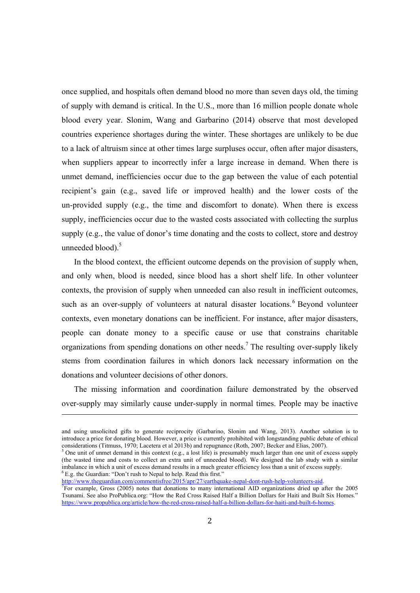once supplied, and hospitals often demand blood no more than seven days old, the timing of supply with demand is critical. In the U.S., more than 16 million people donate whole blood every year. Slonim, Wang and Garbarino (2014) observe that most developed countries experience shortages during the winter. These shortages are unlikely to be due to a lack of altruism since at other times large surpluses occur, often after major disasters, when suppliers appear to incorrectly infer a large increase in demand. When there is unmet demand, inefficiencies occur due to the gap between the value of each potential recipient's gain (e.g., saved life or improved health) and the lower costs of the un-provided supply (e.g., the time and discomfort to donate). When there is excess supply, inefficiencies occur due to the wasted costs associated with collecting the surplus supply (e.g., the value of donor's time donating and the costs to collect, store and destroy unneeded blood).<sup>5</sup>

In the blood context, the efficient outcome depends on the provision of supply when, and only when, blood is needed, since blood has a short shelf life. In other volunteer contexts, the provision of supply when unneeded can also result in inefficient outcomes, such as an over-supply of volunteers at natural disaster locations.<sup>6</sup> Beyond volunteer contexts, even monetary donations can be inefficient. For instance, after major disasters, people can donate money to a specific cause or use that constrains charitable organizations from spending donations on other needs.<sup>7</sup> The resulting over-supply likely stems from coordination failures in which donors lack necessary information on the donations and volunteer decisions of other donors.

The missing information and coordination failure demonstrated by the observed over-supply may similarly cause under-supply in normal times. People may be inactive

<u> 1989 - Andrea Santa Andrea Andrea Andrea Andrea Andrea Andrea Andrea Andrea Andrea Andrea Andrea Andrea Andr</u>

and using unsolicited gifts to generate reciprocity (Garbarino, Slonim and Wang, 2013). Another solution is to introduce a price for donating blood. However, a price is currently prohibited with longstanding public debate of ethical considerations (Titmuss, 1970; Lacetera et al 2013b) and repugnance (Roth, 2007; Becker and Elias, 2007).

<sup>&</sup>lt;sup>5</sup> One unit of unmet demand in this context (e.g., a lost life) is presumably much larger than one unit of excess supply (the wasted time and costs to collect an extra unit of unneeded blood). We designed the lab study with a similar imbalance in which a unit of excess demand results in a much greater efficiency loss than a unit of excess supply. 6 E.g. the Guardian: "Don't rush to Nepal to help. Read this first."

http://www.theguardian.com/commentisfree/2015/apr/27/earthquake-nepal-dont-rush-help-volunteers-aid.  $T$  For example, Gross (2005) notes that donations to many international AID organizations dried up after the 2005 Tsunami. See also ProPublica.org: "How the Red Cross Raised Half a Billion Dollars for Haiti and Built Six Homes." https://www.propublica.org/article/how-the-red-cross-raised-half-a-billion-dollars-for-haiti-and-built-6-homes.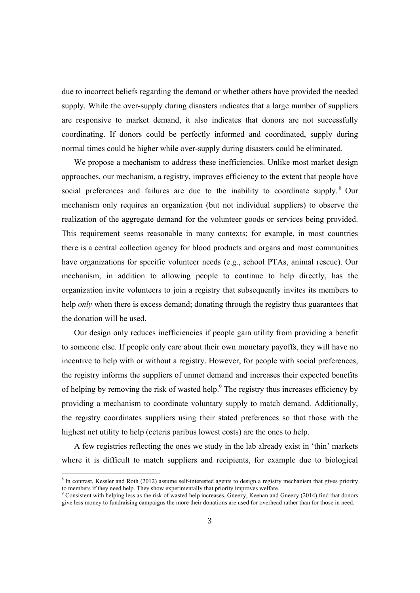due to incorrect beliefs regarding the demand or whether others have provided the needed supply. While the over-supply during disasters indicates that a large number of suppliers are responsive to market demand, it also indicates that donors are not successfully coordinating. If donors could be perfectly informed and coordinated, supply during normal times could be higher while over-supply during disasters could be eliminated.

We propose a mechanism to address these inefficiencies. Unlike most market design approaches, our mechanism, a registry, improves efficiency to the extent that people have social preferences and failures are due to the inability to coordinate supply. <sup>8</sup> Our mechanism only requires an organization (but not individual suppliers) to observe the realization of the aggregate demand for the volunteer goods or services being provided. This requirement seems reasonable in many contexts; for example, in most countries there is a central collection agency for blood products and organs and most communities have organizations for specific volunteer needs (e.g., school PTAs, animal rescue). Our mechanism, in addition to allowing people to continue to help directly, has the organization invite volunteers to join a registry that subsequently invites its members to help *only* when there is excess demand; donating through the registry thus guarantees that the donation will be used.

Our design only reduces inefficiencies if people gain utility from providing a benefit to someone else. If people only care about their own monetary payoffs, they will have no incentive to help with or without a registry. However, for people with social preferences, the registry informs the suppliers of unmet demand and increases their expected benefits of helping by removing the risk of wasted help. $9$  The registry thus increases efficiency by providing a mechanism to coordinate voluntary supply to match demand. Additionally, the registry coordinates suppliers using their stated preferences so that those with the highest net utility to help (ceteris paribus lowest costs) are the ones to help.

A few registries reflecting the ones we study in the lab already exist in 'thin' markets where it is difficult to match suppliers and recipients, for example due to biological

<sup>&</sup>lt;sup>8</sup> In contrast, Kessler and Roth (2012) assume self-interested agents to design a registry mechanism that gives priority to members if they need help. They show experimentally that priority improves welfare.<br><sup>9</sup> Consistent with helping less as the risk of wasted help increases, Gneezy, Keenan and Gneezy (2014) find that donors

give less money to fundraising campaigns the more their donations are used for overhead rather than for those in need.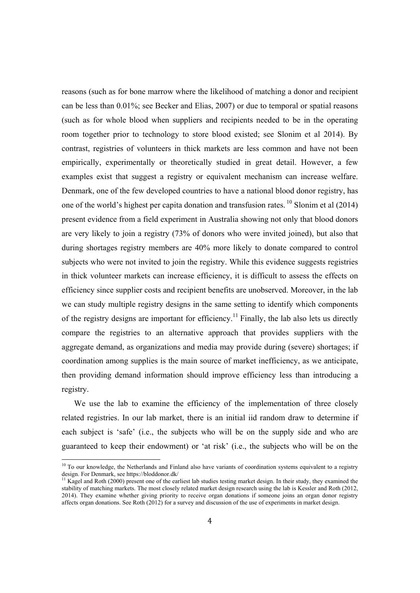reasons (such as for bone marrow where the likelihood of matching a donor and recipient can be less than 0.01%; see Becker and Elias, 2007) or due to temporal or spatial reasons (such as for whole blood when suppliers and recipients needed to be in the operating room together prior to technology to store blood existed; see Slonim et al 2014). By contrast, registries of volunteers in thick markets are less common and have not been empirically, experimentally or theoretically studied in great detail. However, a few examples exist that suggest a registry or equivalent mechanism can increase welfare. Denmark, one of the few developed countries to have a national blood donor registry, has one of the world's highest per capita donation and transfusion rates. <sup>10</sup> Slonim et al (2014) present evidence from a field experiment in Australia showing not only that blood donors are very likely to join a registry (73% of donors who were invited joined), but also that during shortages registry members are 40% more likely to donate compared to control subjects who were not invited to join the registry. While this evidence suggests registries in thick volunteer markets can increase efficiency, it is difficult to assess the effects on efficiency since supplier costs and recipient benefits are unobserved. Moreover, in the lab we can study multiple registry designs in the same setting to identify which components of the registry designs are important for efficiency.<sup>11</sup> Finally, the lab also lets us directly compare the registries to an alternative approach that provides suppliers with the aggregate demand, as organizations and media may provide during (severe) shortages; if coordination among supplies is the main source of market inefficiency, as we anticipate, then providing demand information should improve efficiency less than introducing a registry.

We use the lab to examine the efficiency of the implementation of three closely related registries. In our lab market, there is an initial iid random draw to determine if each subject is 'safe' (i.e., the subjects who will be on the supply side and who are guaranteed to keep their endowment) or 'at risk' (i.e., the subjects who will be on the

 $10$  To our knowledge, the Netherlands and Finland also have variants of coordination systems equivalent to a registry design. For Denmark, see https://bloddonor.dk/

 $11$  Kagel and Roth (2000) present one of the earliest lab studies testing market design. In their study, they examined the stability of matching markets. The most closely related market design research using the lab is Kessler and Roth (2012, 2014). They examine whether giving priority to receive organ donations if someone joins an organ donor registry affects organ donations. See Roth (2012) for a survey and discussion of the use of experiments in market design.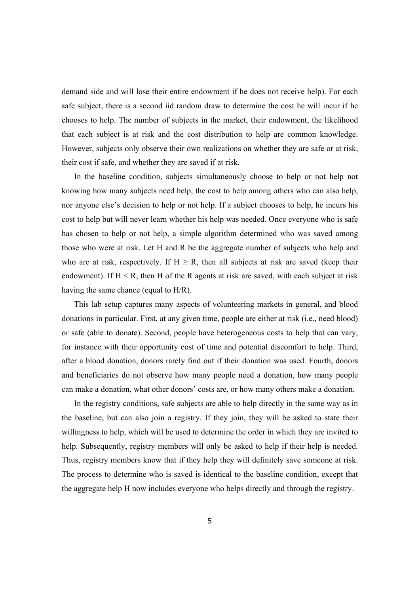demand side and will lose their entire endowment if he does not receive help). For each safe subject, there is a second iid random draw to determine the cost he will incur if he chooses to help. The number of subjects in the market, their endowment, the likelihood that each subject is at risk and the cost distribution to help are common knowledge. However, subjects only observe their own realizations on whether they are safe or at risk, their cost if safe, and whether they are saved if at risk.

In the baseline condition, subjects simultaneously choose to help or not help not knowing how many subjects need help, the cost to help among others who can also help, nor anyone else's decision to help or not help. If a subject chooses to help, he incurs his cost to help but will never learn whether his help was needed. Once everyone who is safe has chosen to help or not help, a simple algorithm determined who was saved among those who were at risk. Let H and R be the aggregate number of subjects who help and who are at risk, respectively. If  $H \ge R$ , then all subjects at risk are saved (keep their endowment). If  $H \le R$ , then H of the R agents at risk are saved, with each subject at risk having the same chance (equal to H/R).

This lab setup captures many aspects of volunteering markets in general, and blood donations in particular. First, at any given time, people are either at risk (i.e., need blood) or safe (able to donate). Second, people have heterogeneous costs to help that can vary, for instance with their opportunity cost of time and potential discomfort to help. Third, after a blood donation, donors rarely find out if their donation was used. Fourth, donors and beneficiaries do not observe how many people need a donation, how many people can make a donation, what other donors' costs are, or how many others make a donation.

In the registry conditions, safe subjects are able to help directly in the same way as in the baseline, but can also join a registry. If they join, they will be asked to state their willingness to help, which will be used to determine the order in which they are invited to help. Subsequently, registry members will only be asked to help if their help is needed. Thus, registry members know that if they help they will definitely save someone at risk. The process to determine who is saved is identical to the baseline condition, except that the aggregate help H now includes everyone who helps directly and through the registry.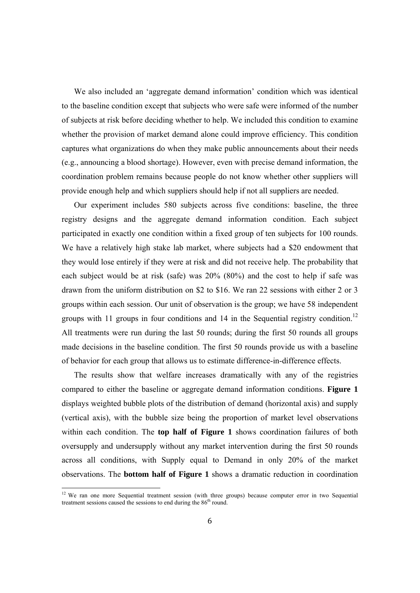We also included an 'aggregate demand information' condition which was identical to the baseline condition except that subjects who were safe were informed of the number of subjects at risk before deciding whether to help. We included this condition to examine whether the provision of market demand alone could improve efficiency. This condition captures what organizations do when they make public announcements about their needs (e.g., announcing a blood shortage). However, even with precise demand information, the coordination problem remains because people do not know whether other suppliers will provide enough help and which suppliers should help if not all suppliers are needed.

Our experiment includes 580 subjects across five conditions: baseline, the three registry designs and the aggregate demand information condition. Each subject participated in exactly one condition within a fixed group of ten subjects for 100 rounds. We have a relatively high stake lab market, where subjects had a \$20 endowment that they would lose entirely if they were at risk and did not receive help. The probability that each subject would be at risk (safe) was 20% (80%) and the cost to help if safe was drawn from the uniform distribution on \$2 to \$16. We ran 22 sessions with either 2 or 3 groups within each session. Our unit of observation is the group; we have 58 independent groups with 11 groups in four conditions and 14 in the Sequential registry condition.<sup>12</sup> All treatments were run during the last 50 rounds; during the first 50 rounds all groups made decisions in the baseline condition. The first 50 rounds provide us with a baseline of behavior for each group that allows us to estimate difference-in-difference effects.

The results show that welfare increases dramatically with any of the registries compared to either the baseline or aggregate demand information conditions. **Figure 1** displays weighted bubble plots of the distribution of demand (horizontal axis) and supply (vertical axis), with the bubble size being the proportion of market level observations within each condition. The **top half of Figure 1** shows coordination failures of both oversupply and undersupply without any market intervention during the first 50 rounds across all conditions, with Supply equal to Demand in only 20% of the market observations. The **bottom half of Figure 1** shows a dramatic reduction in coordination

 $12$  We ran one more Sequential treatment session (with three groups) because computer error in two Sequential treatment sessions caused the sessions to end during the  $86<sup>th</sup>$  round.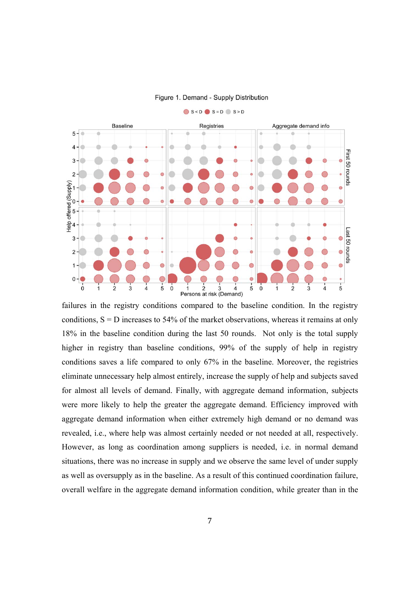

Figure 1. Demand - Supply Distribution

failures in the registry conditions compared to the baseline condition. In the registry conditions,  $S = D$  increases to 54% of the market observations, whereas it remains at only 18% in the baseline condition during the last 50 rounds. Not only is the total supply higher in registry than baseline conditions, 99% of the supply of help in registry conditions saves a life compared to only 67% in the baseline. Moreover, the registries eliminate unnecessary help almost entirely, increase the supply of help and subjects saved for almost all levels of demand. Finally, with aggregate demand information, subjects were more likely to help the greater the aggregate demand. Efficiency improved with aggregate demand information when either extremely high demand or no demand was revealed, i.e., where help was almost certainly needed or not needed at all, respectively. However, as long as coordination among suppliers is needed, i.e. in normal demand situations, there was no increase in supply and we observe the same level of under supply as well as oversupply as in the baseline. As a result of this continued coordination failure, overall welfare in the aggregate demand information condition, while greater than in the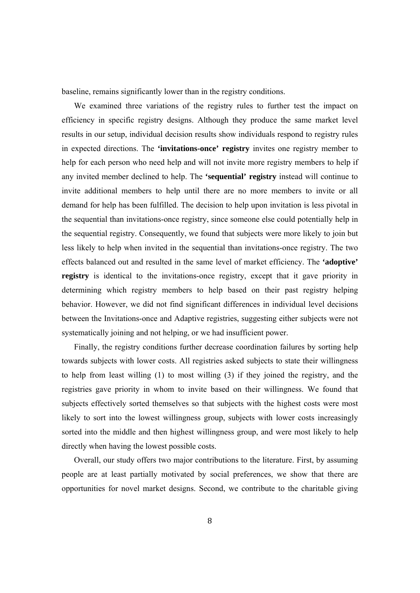baseline, remains significantly lower than in the registry conditions.

We examined three variations of the registry rules to further test the impact on efficiency in specific registry designs. Although they produce the same market level results in our setup, individual decision results show individuals respond to registry rules in expected directions. The **'invitations-once' registry** invites one registry member to help for each person who need help and will not invite more registry members to help if any invited member declined to help. The **'sequential' registry** instead will continue to invite additional members to help until there are no more members to invite or all demand for help has been fulfilled. The decision to help upon invitation is less pivotal in the sequential than invitations-once registry, since someone else could potentially help in the sequential registry. Consequently, we found that subjects were more likely to join but less likely to help when invited in the sequential than invitations-once registry. The two effects balanced out and resulted in the same level of market efficiency. The **'adoptive' registry** is identical to the invitations-once registry, except that it gave priority in determining which registry members to help based on their past registry helping behavior. However, we did not find significant differences in individual level decisions between the Invitations-once and Adaptive registries, suggesting either subjects were not systematically joining and not helping, or we had insufficient power.

Finally, the registry conditions further decrease coordination failures by sorting help towards subjects with lower costs. All registries asked subjects to state their willingness to help from least willing (1) to most willing (3) if they joined the registry, and the registries gave priority in whom to invite based on their willingness. We found that subjects effectively sorted themselves so that subjects with the highest costs were most likely to sort into the lowest willingness group, subjects with lower costs increasingly sorted into the middle and then highest willingness group, and were most likely to help directly when having the lowest possible costs.

Overall, our study offers two major contributions to the literature. First, by assuming people are at least partially motivated by social preferences, we show that there are opportunities for novel market designs. Second, we contribute to the charitable giving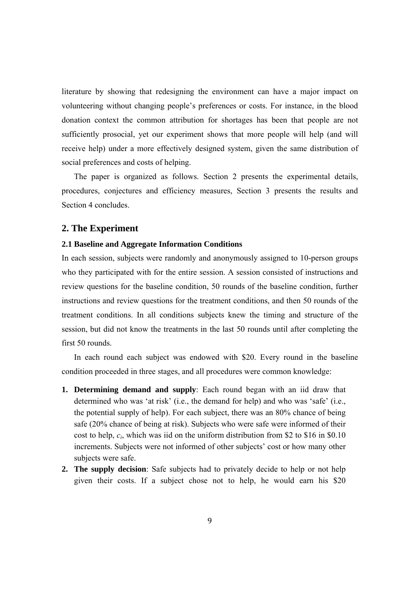literature by showing that redesigning the environment can have a major impact on volunteering without changing people's preferences or costs. For instance, in the blood donation context the common attribution for shortages has been that people are not sufficiently prosocial, yet our experiment shows that more people will help (and will receive help) under a more effectively designed system, given the same distribution of social preferences and costs of helping.

The paper is organized as follows. Section 2 presents the experimental details, procedures, conjectures and efficiency measures, Section 3 presents the results and Section 4 concludes.

#### **2. The Experiment**

#### **2.1 Baseline and Aggregate Information Conditions**

In each session, subjects were randomly and anonymously assigned to 10-person groups who they participated with for the entire session. A session consisted of instructions and review questions for the baseline condition, 50 rounds of the baseline condition, further instructions and review questions for the treatment conditions, and then 50 rounds of the treatment conditions. In all conditions subjects knew the timing and structure of the session, but did not know the treatments in the last 50 rounds until after completing the first 50 rounds.

In each round each subject was endowed with \$20. Every round in the baseline condition proceeded in three stages, and all procedures were common knowledge:

- **1. Determining demand and supply**: Each round began with an iid draw that determined who was 'at risk' (i.e., the demand for help) and who was 'safe' (i.e., the potential supply of help). For each subject, there was an 80% chance of being safe (20% chance of being at risk). Subjects who were safe were informed of their cost to help, *ci*, which was iid on the uniform distribution from \$2 to \$16 in \$0.10 increments. Subjects were not informed of other subjects' cost or how many other subjects were safe.
- **2. The supply decision**: Safe subjects had to privately decide to help or not help given their costs. If a subject chose not to help, he would earn his \$20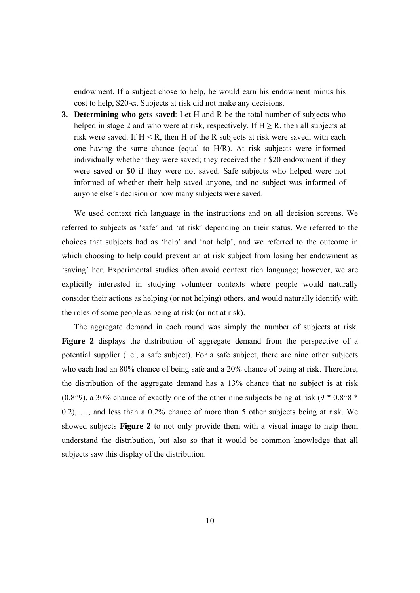endowment. If a subject chose to help, he would earn his endowment minus his cost to help, \$20-ci. Subjects at risk did not make any decisions.

**3. Determining who gets saved**: Let H and R be the total number of subjects who helped in stage 2 and who were at risk, respectively. If  $H \ge R$ , then all subjects at risk were saved. If  $H \le R$ , then H of the R subjects at risk were saved, with each one having the same chance (equal to H/R). At risk subjects were informed individually whether they were saved; they received their \$20 endowment if they were saved or \$0 if they were not saved. Safe subjects who helped were not informed of whether their help saved anyone, and no subject was informed of anyone else's decision or how many subjects were saved.

We used context rich language in the instructions and on all decision screens. We referred to subjects as 'safe' and 'at risk' depending on their status. We referred to the choices that subjects had as 'help' and 'not help', and we referred to the outcome in which choosing to help could prevent an at risk subject from losing her endowment as 'saving' her. Experimental studies often avoid context rich language; however, we are explicitly interested in studying volunteer contexts where people would naturally consider their actions as helping (or not helping) others, and would naturally identify with the roles of some people as being at risk (or not at risk).

The aggregate demand in each round was simply the number of subjects at risk. **Figure 2** displays the distribution of aggregate demand from the perspective of a potential supplier (i.e., a safe subject). For a safe subject, there are nine other subjects who each had an 80% chance of being safe and a 20% chance of being at risk. Therefore, the distribution of the aggregate demand has a 13% chance that no subject is at risk (0.8 $\degree$ 9), a 30% chance of exactly one of the other nine subjects being at risk (9  $*$  0.8 $\degree$ 8  $*$ 0.2), …, and less than a 0.2% chance of more than 5 other subjects being at risk. We showed subjects **Figure 2** to not only provide them with a visual image to help them understand the distribution, but also so that it would be common knowledge that all subjects saw this display of the distribution.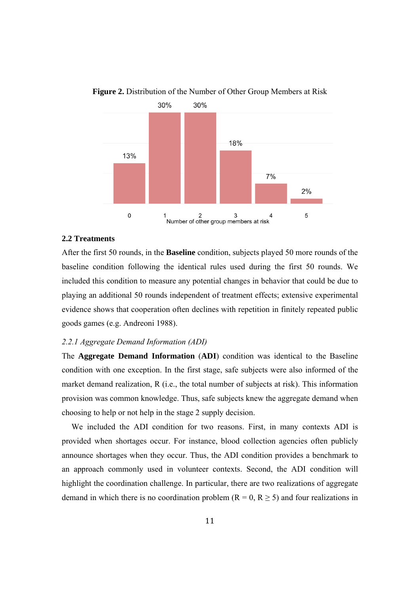

**Figure 2.** Distribution of the Number of Other Group Members at Risk

#### **2.2 Treatments**

After the first 50 rounds, in the **Baseline** condition, subjects played 50 more rounds of the baseline condition following the identical rules used during the first 50 rounds. We included this condition to measure any potential changes in behavior that could be due to playing an additional 50 rounds independent of treatment effects; extensive experimental evidence shows that cooperation often declines with repetition in finitely repeated public goods games (e.g. Andreoni 1988).

#### *2.2.1 Aggregate Demand Information (ADI)*

The **Aggregate Demand Information** (**ADI**) condition was identical to the Baseline condition with one exception. In the first stage, safe subjects were also informed of the market demand realization, R (i.e., the total number of subjects at risk). This information provision was common knowledge. Thus, safe subjects knew the aggregate demand when choosing to help or not help in the stage 2 supply decision.

We included the ADI condition for two reasons. First, in many contexts ADI is provided when shortages occur. For instance, blood collection agencies often publicly announce shortages when they occur. Thus, the ADI condition provides a benchmark to an approach commonly used in volunteer contexts. Second, the ADI condition will highlight the coordination challenge. In particular, there are two realizations of aggregate demand in which there is no coordination problem ( $R = 0$ ,  $R \ge 5$ ) and four realizations in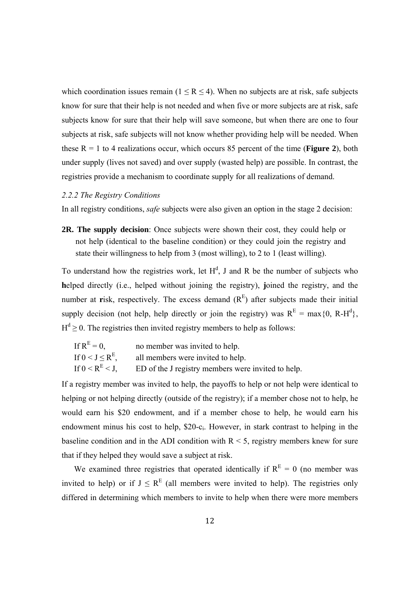which coordination issues remain ( $1 \le R \le 4$ ). When no subjects are at risk, safe subjects know for sure that their help is not needed and when five or more subjects are at risk, safe subjects know for sure that their help will save someone, but when there are one to four subjects at risk, safe subjects will not know whether providing help will be needed. When these  $R = 1$  to 4 realizations occur, which occurs 85 percent of the time (**Figure 2**), both under supply (lives not saved) and over supply (wasted help) are possible. In contrast, the registries provide a mechanism to coordinate supply for all realizations of demand.

#### *2.2.2 The Registry Conditions*

In all registry conditions, *safe* subjects were also given an option in the stage 2 decision:

**2R. The supply decision**: Once subjects were shown their cost, they could help or not help (identical to the baseline condition) or they could join the registry and state their willingness to help from 3 (most willing), to 2 to 1 (least willing).

To understand how the registries work, let  $H^d$ , J and R be the number of subjects who **h**elped directly (i.e., helped without joining the registry), **j**oined the registry, and the number at **r**isk, respectively. The excess demand  $(R<sup>E</sup>)$  after subjects made their initial supply decision (not help, help directly or join the registry) was  $R<sup>E</sup> = max\{0, R-H<sup>d</sup>\}$ ,  $H<sup>d</sup> \ge 0$ . The registries then invited registry members to help as follows:

| If $R^E = 0$ ,             | no member was invited to help.                     |
|----------------------------|----------------------------------------------------|
| If $0 < J \leq R^{E}$ ,    | all members were invited to help.                  |
| If $0 \leq R^{E} \leq J$ , | ED of the J registry members were invited to help. |

If a registry member was invited to help, the payoffs to help or not help were identical to helping or not helping directly (outside of the registry); if a member chose not to help, he would earn his \$20 endowment, and if a member chose to help, he would earn his endowment minus his cost to help, \$20-ci. However, in stark contrast to helping in the baseline condition and in the ADI condition with  $R < 5$ , registry members knew for sure that if they helped they would save a subject at risk.

We examined three registries that operated identically if  $R<sup>E</sup> = 0$  (no member was invited to help) or if  $J \leq R^{E}$  (all members were invited to help). The registries only differed in determining which members to invite to help when there were more members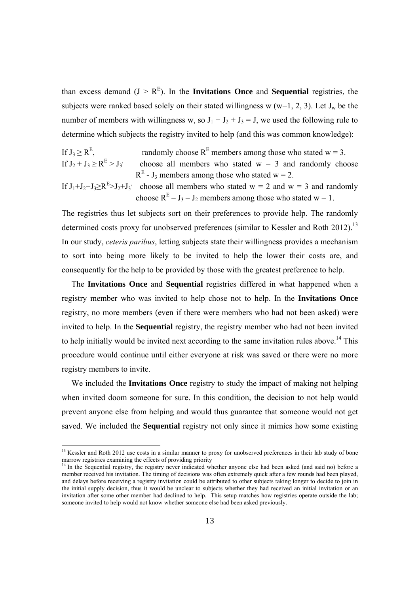than excess demand  $(J > R<sup>E</sup>)$ . In the **Invitations Once** and **Sequential** registries, the subjects were ranked based solely on their stated willingness w (w=1, 2, 3). Let  $J_w$  be the number of members with willingness w, so  $J_1 + J_2 + J_3 = J$ , we used the following rule to determine which subjects the registry invited to help (and this was common knowledge):

If 
$$
J_3 \ge R^E
$$
, randomly choose  $R^E$  members among those who stated  $w = 3$ .  
If  $J_2 + J_3 \ge R^E > J_3$  choose all members who stated  $w = 3$  and randomly choose  $R^E - J_3$  members among those who stated  $w = 2$ .

If  $J_1+J_2+J_3\ge R^E > J_2+J_3$  choose all members who stated w = 2 and w = 3 and randomly choose  $R<sup>E</sup> - J<sub>3</sub> - J<sub>2</sub>$  members among those who stated w = 1.

The registries thus let subjects sort on their preferences to provide help. The randomly determined costs proxy for unobserved preferences (similar to Kessler and Roth 2012).<sup>13</sup> In our study, *ceteris paribus*, letting subjects state their willingness provides a mechanism to sort into being more likely to be invited to help the lower their costs are, and consequently for the help to be provided by those with the greatest preference to help.

The **Invitations Once** and **Sequential** registries differed in what happened when a registry member who was invited to help chose not to help. In the **Invitations Once** registry, no more members (even if there were members who had not been asked) were invited to help. In the **Sequential** registry, the registry member who had not been invited to help initially would be invited next according to the same invitation rules above.<sup>14</sup> This procedure would continue until either everyone at risk was saved or there were no more registry members to invite.

We included the **Invitations Once** registry to study the impact of making not helping when invited doom someone for sure. In this condition, the decision to not help would prevent anyone else from helping and would thus guarantee that someone would not get saved. We included the **Sequential** registry not only since it mimics how some existing

 $13$  Kessler and Roth 2012 use costs in a similar manner to proxy for unobserved preferences in their lab study of bone marrow registries examining the effects of providing priority  $14$  In the Sequential registry, the registry never indicated whether anyone else had been asked (and said no) before a

member received his invitation. The timing of decisions was often extremely quick after a few rounds had been played, and delays before receiving a registry invitation could be attributed to other subjects taking longer to decide to join in the initial supply decision, thus it would be unclear to subjects whether they had received an initial invitation or an invitation after some other member had declined to help. This setup matches how registries operate outside the lab; someone invited to help would not know whether someone else had been asked previously.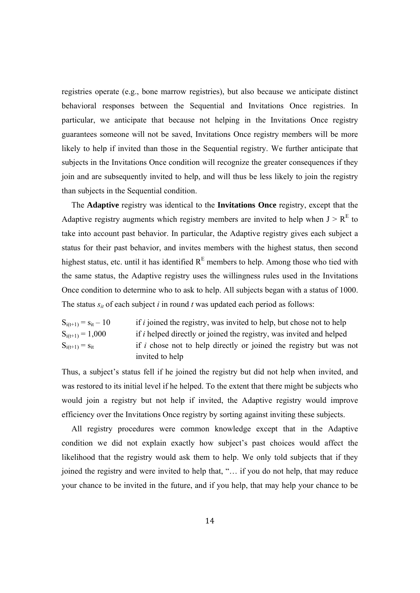registries operate (e.g., bone marrow registries), but also because we anticipate distinct behavioral responses between the Sequential and Invitations Once registries. In particular, we anticipate that because not helping in the Invitations Once registry guarantees someone will not be saved, Invitations Once registry members will be more likely to help if invited than those in the Sequential registry. We further anticipate that subjects in the Invitations Once condition will recognize the greater consequences if they join and are subsequently invited to help, and will thus be less likely to join the registry than subjects in the Sequential condition.

The **Adaptive** registry was identical to the **Invitations Once** registry, except that the Adaptive registry augments which registry members are invited to help when  $J > R<sup>E</sup>$  to take into account past behavior. In particular, the Adaptive registry gives each subject a status for their past behavior, and invites members with the highest status, then second highest status, etc. until it has identified  $R<sup>E</sup>$  members to help. Among those who tied with the same status, the Adaptive registry uses the willingness rules used in the Invitations Once condition to determine who to ask to help. All subjects began with a status of 1000. The status  $s_{it}$  of each subject *i* in round *t* was updated each period as follows:

| $S_{i(t+1)} = S_{it} - 10$ | if <i>i</i> joined the registry, was invited to help, but chose not to help |
|----------------------------|-----------------------------------------------------------------------------|
| $S_{i(t+1)} = 1,000$       | if i helped directly or joined the registry, was invited and helped         |
| $S_{i(t+1)} = S_{it}$      | if <i>i</i> chose not to help directly or joined the registry but was not   |
|                            | invited to help                                                             |

Thus, a subject's status fell if he joined the registry but did not help when invited, and was restored to its initial level if he helped. To the extent that there might be subjects who would join a registry but not help if invited, the Adaptive registry would improve efficiency over the Invitations Once registry by sorting against inviting these subjects.

All registry procedures were common knowledge except that in the Adaptive condition we did not explain exactly how subject's past choices would affect the likelihood that the registry would ask them to help. We only told subjects that if they joined the registry and were invited to help that, "… if you do not help, that may reduce your chance to be invited in the future, and if you help, that may help your chance to be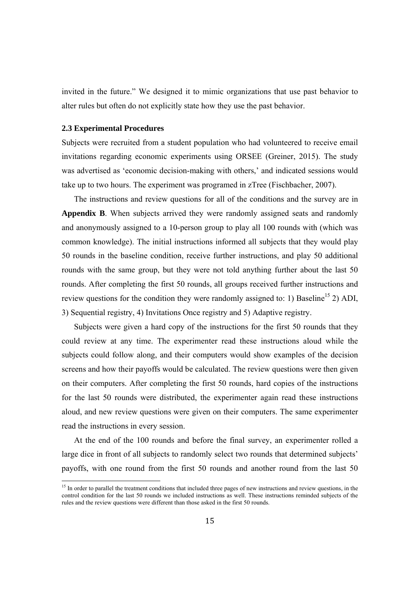invited in the future." We designed it to mimic organizations that use past behavior to alter rules but often do not explicitly state how they use the past behavior.

#### **2.3 Experimental Procedures**

 

Subjects were recruited from a student population who had volunteered to receive email invitations regarding economic experiments using ORSEE (Greiner, 2015). The study was advertised as 'economic decision-making with others,' and indicated sessions would take up to two hours. The experiment was programed in zTree (Fischbacher, 2007).

The instructions and review questions for all of the conditions and the survey are in **Appendix B**. When subjects arrived they were randomly assigned seats and randomly and anonymously assigned to a 10-person group to play all 100 rounds with (which was common knowledge). The initial instructions informed all subjects that they would play 50 rounds in the baseline condition, receive further instructions, and play 50 additional rounds with the same group, but they were not told anything further about the last 50 rounds. After completing the first 50 rounds, all groups received further instructions and review questions for the condition they were randomly assigned to: 1) Baseline<sup>15</sup> 2) ADI, 3) Sequential registry, 4) Invitations Once registry and 5) Adaptive registry.

Subjects were given a hard copy of the instructions for the first 50 rounds that they could review at any time. The experimenter read these instructions aloud while the subjects could follow along, and their computers would show examples of the decision screens and how their payoffs would be calculated. The review questions were then given on their computers. After completing the first 50 rounds, hard copies of the instructions for the last 50 rounds were distributed, the experimenter again read these instructions aloud, and new review questions were given on their computers. The same experimenter read the instructions in every session.

At the end of the 100 rounds and before the final survey, an experimenter rolled a large dice in front of all subjects to randomly select two rounds that determined subjects' payoffs, with one round from the first 50 rounds and another round from the last 50

<sup>&</sup>lt;sup>15</sup> In order to parallel the treatment conditions that included three pages of new instructions and review questions, in the control condition for the last 50 rounds we included instructions as well. These instructions reminded subjects of the rules and the review questions were different than those asked in the first 50 rounds.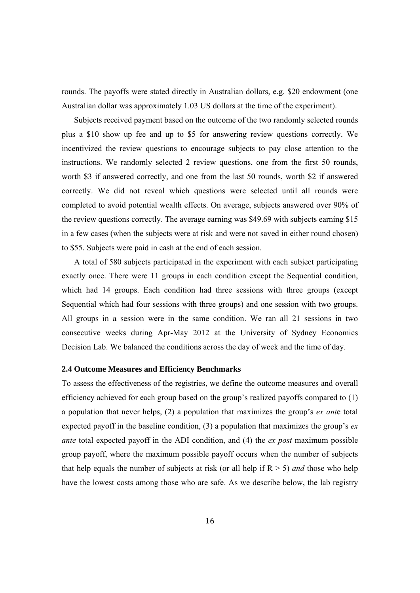rounds. The payoffs were stated directly in Australian dollars, e.g. \$20 endowment (one Australian dollar was approximately 1.03 US dollars at the time of the experiment).

Subjects received payment based on the outcome of the two randomly selected rounds plus a \$10 show up fee and up to \$5 for answering review questions correctly. We incentivized the review questions to encourage subjects to pay close attention to the instructions. We randomly selected 2 review questions, one from the first 50 rounds, worth \$3 if answered correctly, and one from the last 50 rounds, worth \$2 if answered correctly. We did not reveal which questions were selected until all rounds were completed to avoid potential wealth effects. On average, subjects answered over 90% of the review questions correctly. The average earning was \$49.69 with subjects earning \$15 in a few cases (when the subjects were at risk and were not saved in either round chosen) to \$55. Subjects were paid in cash at the end of each session.

A total of 580 subjects participated in the experiment with each subject participating exactly once. There were 11 groups in each condition except the Sequential condition, which had 14 groups. Each condition had three sessions with three groups (except Sequential which had four sessions with three groups) and one session with two groups. All groups in a session were in the same condition. We ran all 21 sessions in two consecutive weeks during Apr-May 2012 at the University of Sydney Economics Decision Lab. We balanced the conditions across the day of week and the time of day.

#### **2.4 Outcome Measures and Efficiency Benchmarks**

To assess the effectiveness of the registries, we define the outcome measures and overall efficiency achieved for each group based on the group's realized payoffs compared to (1) a population that never helps, (2) a population that maximizes the group's *ex ant*e total expected payoff in the baseline condition, (3) a population that maximizes the group's *ex ante* total expected payoff in the ADI condition, and (4) the *ex post* maximum possible group payoff, where the maximum possible payoff occurs when the number of subjects that help equals the number of subjects at risk (or all help if  $R > 5$ ) *and* those who help have the lowest costs among those who are safe. As we describe below, the lab registry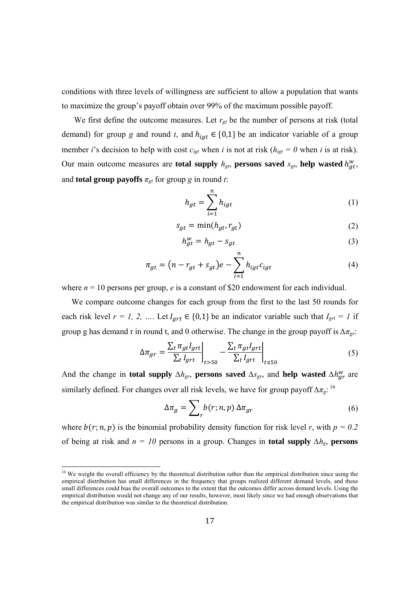conditions with three levels of willingness are sufficient to allow a population that wants to maximize the group's payoff obtain over 99% of the maximum possible payoff.

We first define the outcome measures. Let  $r_{gt}$  be the number of persons at risk (total demand) for group *g* and round *t*, and  $h_{iqt} \in \{0,1\}$  be an indicator variable of a group member *i*'s decision to help with cost  $c_{iqt}$  when *i* is not at risk ( $h_{iqt} = 0$  when *i* is at risk). Our main outcome measures are **total supply**  $h_{gt}$ , **persons saved**  $s_{gt}$ , **help** wasted  $h_{gt}^w$ , and **total group payoffs**  $\pi_{gt}$  for group *g* in round *t*:

$$
h_{gt} = \sum_{i=1}^{n} h_{igt} \tag{1}
$$

$$
s_{gt} = \min(h_{gt}, r_{gt})
$$
 (2)

$$
h_{gt}^w = h_{gt} - s_{gt} \tag{3}
$$

$$
\pi_{gt} = (n - r_{gt} + s_{gt})e - \sum_{i=1}^{n} h_{igt} c_{igt}
$$
\n(4)

where  $n = 10$  persons per group,  $e$  is a constant of \$20 endowment for each individual.

We compare outcome changes for each group from the first to the last 50 rounds for each risk level  $r = 1, 2, ...$  Let  $I_{art} \in \{0,1\}$  be an indicator variable such that  $I_{grt} = 1$  if group g has demand r in round t, and 0 otherwise. The change in the group payoff is *∆πgr*:

$$
\Delta \pi_{gr} = \frac{\sum_{t} \pi_{gt} I_{grt}}{\sum_{t} I_{grt}} \Big|_{t > 50} - \frac{\sum_{t} \pi_{gt} I_{grt}}{\sum_{t} I_{grt}} \Big|_{t \le 50} \tag{5}
$$

And the change in **total supply**  $\Delta h_{gr}$ , **persons saved**  $\Delta s_{gr}$ , and **help** wasted  $\Delta h_{gr}^W$  are similarly defined. For changes over all risk levels, we have for group payoff *∆πg*: 16

$$
\Delta \pi_g = \sum_r b(r; n, p) \, \Delta \pi_{gr} \tag{6}
$$

where  $b(r; n, p)$  is the binomial probability density function for risk level *r*, with  $p = 0.2$ of being at risk and *n = 10* persons in a group. Changes in **total supply** *∆hg*, **persons** 

 $16$  We weight the overall efficiency by the theoretical distribution rather than the empirical distribution since using the empirical distribution has small differences in the frequency that groups realized different demand levels, and these small differences could bias the overall outcomes to the extent that the outcomes differ across demand levels. Using the empirical distribution would not change any of our results, however, most likely since we had enough observations that the empirical distribution was similar to the theoretical distribution.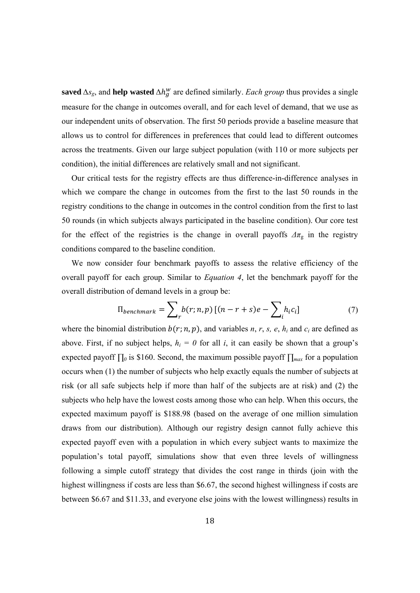saved  $\Delta s_g$ , and help wasted  $\Delta h_g^w$  are defined similarly. *Each group* thus provides a single measure for the change in outcomes overall, and for each level of demand, that we use as our independent units of observation. The first 50 periods provide a baseline measure that allows us to control for differences in preferences that could lead to different outcomes across the treatments. Given our large subject population (with 110 or more subjects per condition), the initial differences are relatively small and not significant.

Our critical tests for the registry effects are thus difference-in-difference analyses in which we compare the change in outcomes from the first to the last 50 rounds in the registry conditions to the change in outcomes in the control condition from the first to last 50 rounds (in which subjects always participated in the baseline condition). Our core test for the effect of the registries is the change in overall payoffs  $\Delta \pi_{\rm g}$  in the registry conditions compared to the baseline condition.

We now consider four benchmark payoffs to assess the relative efficiency of the overall payoff for each group. Similar to *Equation 4*, let the benchmark payoff for the overall distribution of demand levels in a group be:

$$
\Pi_{\text{benchmark}} = \sum_{r} b(r; n, p) \left[ (n - r + s)e - \sum_{i} h_{i} c_{i} \right] \tag{7}
$$

where the binomial distribution  $b(r; n, p)$ , and variables *n*, *r*, *s*, *e*,  $h_i$  and  $c_i$  are defined as above. First, if no subject helps,  $h_i = 0$  for all *i*, it can easily be shown that a group's expected payoff *∏0* is \$160. Second, the maximum possible payoff *∏max* for a population occurs when (1) the number of subjects who help exactly equals the number of subjects at risk (or all safe subjects help if more than half of the subjects are at risk) and (2) the subjects who help have the lowest costs among those who can help. When this occurs, the expected maximum payoff is \$188.98 (based on the average of one million simulation draws from our distribution). Although our registry design cannot fully achieve this expected payoff even with a population in which every subject wants to maximize the population's total payoff, simulations show that even three levels of willingness following a simple cutoff strategy that divides the cost range in thirds (join with the highest willingness if costs are less than \$6.67, the second highest willingness if costs are between \$6.67 and \$11.33, and everyone else joins with the lowest willingness) results in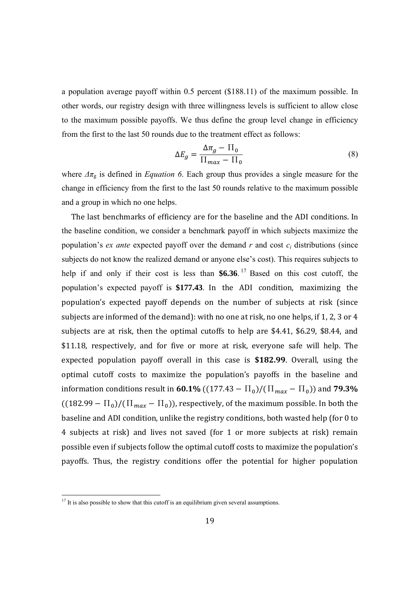a population average payoff within 0.5 percent (\$188.11) of the maximum possible. In other words, our registry design with three willingness levels is sufficient to allow close to the maximum possible payoffs. We thus define the group level change in efficiency from the first to the last 50 rounds due to the treatment effect as follows:

$$
\Delta E_g = \frac{\Delta \pi_g - \Pi_0}{\Pi_{max} - \Pi_0} \tag{8}
$$

where  $\Delta \pi$ <sub>g</sub> is defined in *Equation 6*. Each group thus provides a single measure for the change in efficiency from the first to the last 50 rounds relative to the maximum possible and a group in which no one helps.

The last benchmarks of efficiency are for the baseline and the ADI conditions. In the baseline condition, we consider a benchmark payoff in which subjects maximize the population's *ex ante* expected payoff over the demand  $r$  and cost  $c_i$  distributions (since subjects do not know the realized demand or anyone else's cost). This requires subjects to help if and only if their cost is less than **\$6.36**. 17 Based on this cost cutoff, the population's expected payoff is \$177.43. In the ADI condition, maximizing the population's expected payoff depends on the number of subjects at risk (since subjects are informed of the demand): with no one at risk, no one helps, if 1, 2, 3 or 4 subjects are at risk, then the optimal cutoffs to help are  $$4.41, $6.29, $8.44,$  and \$11.18, respectively, and for five or more at risk, everyone safe will help. The expected population payoff overall in this case is \$182.99. Overall, using the optimal cutoff costs to maximize the population's payoffs in the baseline and information conditions result in **60.1%** ( $(177.43 - \Pi_0)/(\Pi_{max} - \Pi_0)$ ) and **79.3%**  $((182.99 - \Pi_0)/(\Pi_{max} - \Pi_0))$ , respectively, of the maximum possible. In both the baseline and ADI condition, unlike the registry conditions, both wasted help (for 0 to 4 subjects at risk) and lives not saved (for 1 or more subjects at risk) remain possible even if subjects follow the optimal cutoff costs to maximize the population's payoffs. Thus, the registry conditions offer the potential for higher population

 $17$  It is also possible to show that this cutoff is an equilibrium given several assumptions.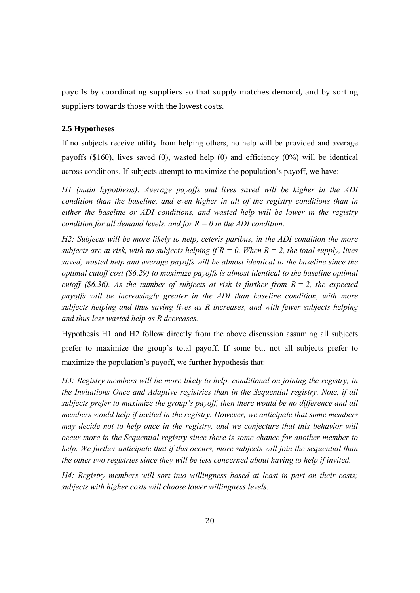payoffs by coordinating suppliers so that supply matches demand, and by sorting suppliers towards those with the lowest costs.

#### **2.5 Hypotheses**

If no subjects receive utility from helping others, no help will be provided and average payoffs (\$160), lives saved (0), wasted help (0) and efficiency (0%) will be identical across conditions. If subjects attempt to maximize the population's payoff, we have:

*H1 (main hypothesis): Average payoffs and lives saved will be higher in the ADI condition than the baseline, and even higher in all of the registry conditions than in either the baseline or ADI conditions, and wasted help will be lower in the registry condition for all demand levels, and for R = 0 in the ADI condition.* 

*H2: Subjects will be more likely to help, ceteris paribus, in the ADI condition the more subjects are at risk, with no subjects helping if*  $R = 0$ *. When*  $R = 2$ *, the total supply, lives saved, wasted help and average payoffs will be almost identical to the baseline since the optimal cutoff cost (\$6.29) to maximize payoffs is almost identical to the baseline optimal cutoff (\$6.36). As the number of subjects at risk is further from*  $R = 2$ *, the expected payoffs will be increasingly greater in the ADI than baseline condition, with more subjects helping and thus saving lives as R increases, and with fewer subjects helping and thus less wasted help as R decreases.* 

Hypothesis H1 and H2 follow directly from the above discussion assuming all subjects prefer to maximize the group's total payoff. If some but not all subjects prefer to maximize the population's payoff, we further hypothesis that:

*H3: Registry members will be more likely to help, conditional on joining the registry, in the Invitations Once and Adaptive registries than in the Sequential registry. Note, if all subjects prefer to maximize the group's payoff, then there would be no difference and all members would help if invited in the registry. However, we anticipate that some members may decide not to help once in the registry, and we conjecture that this behavior will occur more in the Sequential registry since there is some chance for another member to help. We further anticipate that if this occurs, more subjects will join the sequential than the other two registries since they will be less concerned about having to help if invited.* 

*H4: Registry members will sort into willingness based at least in part on their costs; subjects with higher costs will choose lower willingness levels.*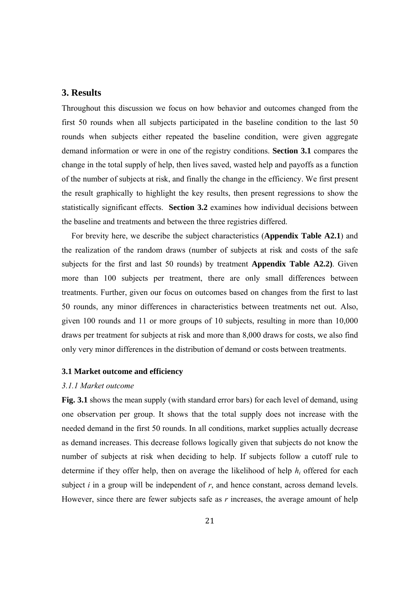#### **3. Results**

Throughout this discussion we focus on how behavior and outcomes changed from the first 50 rounds when all subjects participated in the baseline condition to the last 50 rounds when subjects either repeated the baseline condition, were given aggregate demand information or were in one of the registry conditions. **Section 3.1** compares the change in the total supply of help, then lives saved, wasted help and payoffs as a function of the number of subjects at risk, and finally the change in the efficiency. We first present the result graphically to highlight the key results, then present regressions to show the statistically significant effects. **Section 3.2** examines how individual decisions between the baseline and treatments and between the three registries differed.

For brevity here, we describe the subject characteristics (**Appendix Table A2.1**) and the realization of the random draws (number of subjects at risk and costs of the safe subjects for the first and last 50 rounds) by treatment **Appendix Table A2.2)**. Given more than 100 subjects per treatment, there are only small differences between treatments. Further, given our focus on outcomes based on changes from the first to last 50 rounds, any minor differences in characteristics between treatments net out. Also, given 100 rounds and 11 or more groups of 10 subjects, resulting in more than 10,000 draws per treatment for subjects at risk and more than 8,000 draws for costs, we also find only very minor differences in the distribution of demand or costs between treatments.

#### **3.1 Market outcome and efficiency**

#### *3.1.1 Market outcome*

**Fig. 3.1** shows the mean supply (with standard error bars) for each level of demand, using one observation per group. It shows that the total supply does not increase with the needed demand in the first 50 rounds. In all conditions, market supplies actually decrease as demand increases. This decrease follows logically given that subjects do not know the number of subjects at risk when deciding to help. If subjects follow a cutoff rule to determine if they offer help, then on average the likelihood of help *hi* offered for each subject *i* in a group will be independent of *r*, and hence constant, across demand levels. However, since there are fewer subjects safe as *r* increases, the average amount of help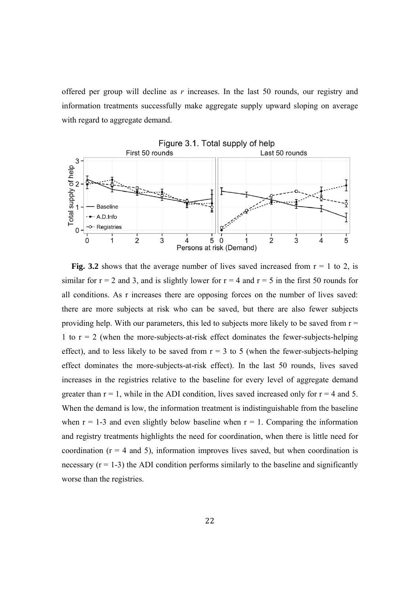offered per group will decline as *r* increases. In the last 50 rounds, our registry and information treatments successfully make aggregate supply upward sloping on average with regard to aggregate demand.



**Fig. 3.2** shows that the average number of lives saved increased from  $r = 1$  to 2, is similar for  $r = 2$  and 3, and is slightly lower for  $r = 4$  and  $r = 5$  in the first 50 rounds for all conditions. As r increases there are opposing forces on the number of lives saved: there are more subjects at risk who can be saved, but there are also fewer subjects providing help. With our parameters, this led to subjects more likely to be saved from  $r =$ 1 to  $r = 2$  (when the more-subjects-at-risk effect dominates the fewer-subjects-helping effect), and to less likely to be saved from  $r = 3$  to 5 (when the fewer-subjects-helping effect dominates the more-subjects-at-risk effect). In the last 50 rounds, lives saved increases in the registries relative to the baseline for every level of aggregate demand greater than  $r = 1$ , while in the ADI condition, lives saved increased only for  $r = 4$  and 5. When the demand is low, the information treatment is indistinguishable from the baseline when  $r = 1-3$  and even slightly below baseline when  $r = 1$ . Comparing the information and registry treatments highlights the need for coordination, when there is little need for coordination  $(r = 4$  and 5), information improves lives saved, but when coordination is necessary  $(r = 1-3)$  the ADI condition performs similarly to the baseline and significantly worse than the registries.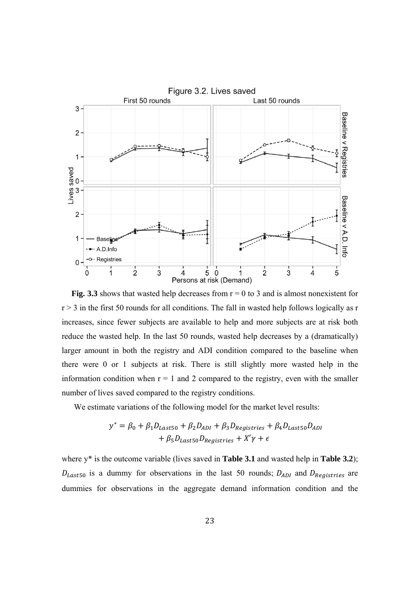

**Fig. 3.3** shows that wasted help decreases from  $r = 0$  to 3 and is almost nonexistent for  $r > 3$  in the first 50 rounds for all conditions. The fall in wasted help follows logically as r increases, since fewer subjects are available to help and more subjects are at risk both reduce the wasted help. In the last 50 rounds, wasted help decreases by a (dramatically) larger amount in both the registry and ADI condition compared to the baseline when there were 0 or 1 subjects at risk. There is still slightly more wasted help in the information condition when  $r = 1$  and 2 compared to the registry, even with the smaller number of lives saved compared to the registry conditions.

We estimate variations of the following model for the market level results:

$$
y^* = \beta_0 + \beta_1 D_{Last50} + \beta_2 D_{ADI} + \beta_3 D_{Registries} + \beta_4 D_{Last50} D_{ADI}
$$

$$
+ \beta_5 D_{Last50} D_{Registries} + X'\gamma + \epsilon
$$

where y\* is the outcome variable (lives saved in **Table 3.1** and wasted help in **Table 3.2**);  $D_{Last50}$  is a dummy for observations in the last 50 rounds;  $D_{ADI}$  and  $D_{Registries}$  are dummies for observations in the aggregate demand information condition and the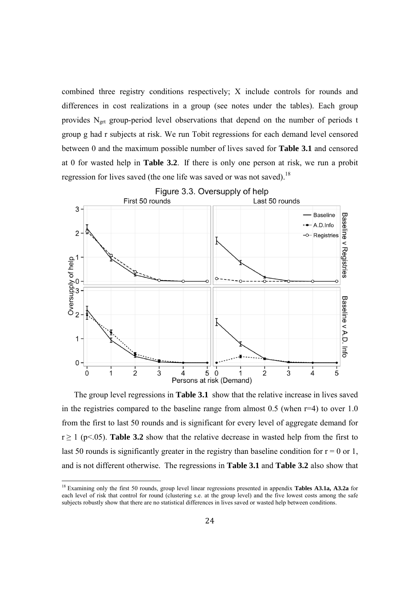combined three registry conditions respectively; X include controls for rounds and differences in cost realizations in a group (see notes under the tables). Each group provides  $N<sub>ert</sub>$  group-period level observations that depend on the number of periods t group g had r subjects at risk. We run Tobit regressions for each demand level censored between 0 and the maximum possible number of lives saved for **Table 3.1** and censored at 0 for wasted help in **Table 3.2**. If there is only one person at risk, we run a probit regression for lives saved (the one life was saved or was not saved).<sup>18</sup>



The group level regressions in **Table 3.1** show that the relative increase in lives saved in the registries compared to the baseline range from almost  $0.5$  (when  $r=4$ ) to over  $1.0$ from the first to last 50 rounds and is significant for every level of aggregate demand for  $r \ge 1$  (p<.05). **Table 3.2** show that the relative decrease in wasted help from the first to last 50 rounds is significantly greater in the registry than baseline condition for  $r = 0$  or 1, and is not different otherwise. The regressions in **Table 3.1** and **Table 3.2** also show that

<sup>18</sup> Examining only the first 50 rounds, group level linear regressions presented in appendix **Tables A3.1a, A3.2a** for each level of risk that control for round (clustering s.e. at the group level) and the five lowest costs among the safe subjects robustly show that there are no statistical differences in lives saved or wasted help between conditions.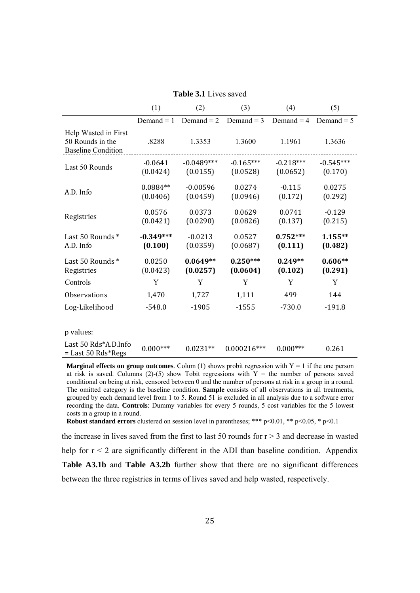|                                                                       | (1)                    | (2)                      | (3)                     | (4)                     | (5)                    |
|-----------------------------------------------------------------------|------------------------|--------------------------|-------------------------|-------------------------|------------------------|
|                                                                       | Demand $= 1$           | Demand $= 2$             | Demand $=$ 3            | Demand $=$ 4            | Demand $= 5$           |
| Help Wasted in First<br>50 Rounds in the<br><b>Baseline Condition</b> | .8288                  | 1.3353                   | 1.3600                  | 1.1961                  | 1.3636                 |
| Last 50 Rounds                                                        | $-0.0641$<br>(0.0424)  | $-0.0489***$<br>(0.0155) | $-0.165***$<br>(0.0528) | $-0.218***$<br>(0.0652) | $-0.545***$<br>(0.170) |
| A.D. Info                                                             | $0.0884**$<br>(0.0406) | $-0.00596$<br>(0.0459)   | 0.0274<br>(0.0946)      | $-0.115$<br>(0.172)     | 0.0275<br>(0.292)      |
| Registries                                                            | 0.0576<br>(0.0421)     | 0.0373<br>(0.0290)       | 0.0629<br>(0.0826)      | 0.0741<br>(0.137)       | $-0.129$<br>(0.215)    |
| Last 50 Rounds*<br>A.D. Info                                          | $-0.349***$<br>(0.100) | $-0.0213$<br>(0.0359)    | 0.0527<br>(0.0687)      | $0.752***$<br>(0.111)   | $1.155**$<br>(0.482)   |
| Last 50 Rounds*<br>Registries                                         | 0.0250<br>(0.0423)     | $0.0649**$<br>(0.0257)   | $0.250***$<br>(0.0604)  | $0.249**$<br>(0.102)    | $0.606**$<br>(0.291)   |
| Controls                                                              | Y                      | Y                        | Y                       | Y                       | Y                      |
| Observations                                                          | 1,470                  | 1,727                    | 1,111                   | 499                     | 144                    |
| Log-Likelihood                                                        | $-548.0$               | $-1905$                  | $-1555$                 | $-730.0$                | $-191.8$               |
|                                                                       |                        |                          |                         |                         |                        |
| p values:                                                             |                        |                          |                         |                         |                        |
| Last 50 Rds*A.D.Info<br>$=$ Last 50 Rds*Regs                          | $0.000***$             | $0.0231**$               | $0.000216***$           | $0.000***$              | 0.261                  |

**Table 3.1** Lives saved

**Marginal effects on group outcomes**. Colum (1) shows probit regression with  $Y = 1$  if the one person at risk is saved. Columns (2)-(5) show Tobit regressions with  $Y =$  the number of persons saved conditional on being at risk, censored between 0 and the number of persons at risk in a group in a round. The omitted category is the baseline condition. **Sample** consists of all observations in all treatments, grouped by each demand level from 1 to 5. Round 51 is excluded in all analysis due to a software error recording the data. **Controls**: Dummy variables for every 5 rounds, 5 cost variables for the 5 lowest costs in a group in a round.

**Robust standard errors** clustered on session level in parentheses; \*\*\* p<0.01, \*\* p<0.05, \* p<0.1

the increase in lives saved from the first to last 50 rounds for  $r > 3$  and decrease in wasted help for  $r < 2$  are significantly different in the ADI than baseline condition. Appendix **Table A3.1b** and **Table A3.2b** further show that there are no significant differences between the three registries in terms of lives saved and help wasted, respectively.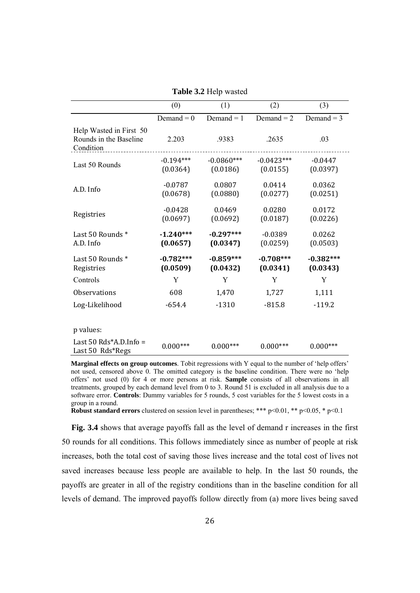|  |  |  | Table 3.2 Help wasted |
|--|--|--|-----------------------|
|--|--|--|-----------------------|

|                                                                | (0)                     | (1)                      | (2)                      | (3)                     |
|----------------------------------------------------------------|-------------------------|--------------------------|--------------------------|-------------------------|
|                                                                | Demand = $0$            | Demand $= 1$             | Demand $= 2$             | Demand $=$ 3            |
| Help Wasted in First 50<br>Rounds in the Baseline<br>Condition | 2.203                   | .9383                    | .2635                    | .03                     |
| Last 50 Rounds                                                 | $-0.194***$<br>(0.0364) | $-0.0860***$<br>(0.0186) | $-0.0423***$<br>(0.0155) | $-0.0447$<br>(0.0397)   |
| A.D. Info                                                      | $-0.0787$<br>(0.0678)   | 0.0807<br>(0.0880)       | 0.0414<br>(0.0277)       | 0.0362<br>(0.0251)      |
| Registries                                                     | $-0.0428$<br>(0.0697)   | 0.0469<br>(0.0692)       | 0.0280<br>(0.0187)       | 0.0172<br>(0.0226)      |
| Last 50 Rounds*<br>A.D. Info                                   | $-1.240***$<br>(0.0657) | $-0.297***$<br>(0.0347)  | $-0.0389$<br>(0.0259)    | 0.0262<br>(0.0503)      |
| Last 50 Rounds*<br>Registries                                  | $-0.782***$<br>(0.0509) | $-0.859***$<br>(0.0432)  | $-0.708***$<br>(0.0341)  | $-0.382***$<br>(0.0343) |
| Controls                                                       | Y                       | Y                        | Y                        | Y                       |
| <b>Observations</b>                                            | 608                     | 1,470                    | 1,727                    | 1,111                   |
| Log-Likelihood                                                 | $-654.4$                | $-1310$                  | $-815.8$                 | $-119.2$                |
| p values:<br>Last $50$ Rds*A.D.Info =                          | $0.000***$              | $0.000***$               | $0.000***$               | $0.000***$              |
| Last 50 Rds*Regs                                               |                         |                          |                          |                         |

**Marginal effects on group outcomes**. Tobit regressions with Y equal to the number of 'help offers' not used, censored above 0. The omitted category is the baseline condition. There were no 'help offers' not used (0) for 4 or more persons at risk. **Sample** consists of all observations in all treatments, grouped by each demand level from 0 to 3. Round 51 is excluded in all analysis due to a software error. **Controls**: Dummy variables for 5 rounds, 5 cost variables for the 5 lowest costs in a group in a round.

**Robust standard errors** clustered on session level in parentheses; \*\*\* p<0.01, \*\* p<0.05, \* p<0.1

**Fig. 3.4** shows that average payoffs fall as the level of demand r increases in the first 50 rounds for all conditions. This follows immediately since as number of people at risk increases, both the total cost of saving those lives increase and the total cost of lives not saved increases because less people are available to help. In the last 50 rounds, the payoffs are greater in all of the registry conditions than in the baseline condition for all levels of demand. The improved payoffs follow directly from (a) more lives being saved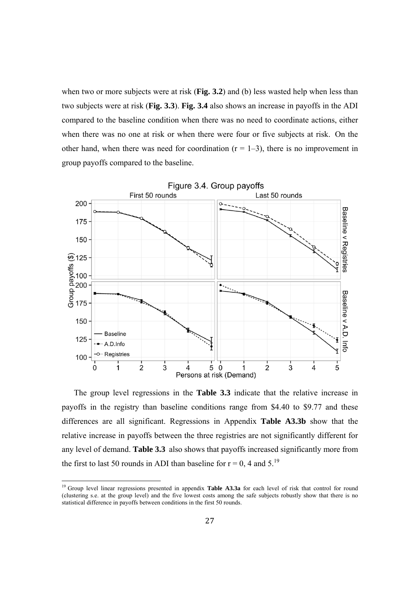when two or more subjects were at risk (**Fig. 3.2**) and (b) less wasted help when less than two subjects were at risk (**Fig. 3.3**). **Fig. 3.4** also shows an increase in payoffs in the ADI compared to the baseline condition when there was no need to coordinate actions, either when there was no one at risk or when there were four or five subjects at risk. On the other hand, when there was need for coordination  $(r = 1-3)$ , there is no improvement in group payoffs compared to the baseline.



The group level regressions in the **Table 3.3** indicate that the relative increase in payoffs in the registry than baseline conditions range from \$4.40 to \$9.77 and these differences are all significant. Regressions in Appendix **Table A3.3b** show that the relative increase in payoffs between the three registries are not significantly different for any level of demand. **Table 3.3** also shows that payoffs increased significantly more from the first to last 50 rounds in ADI than baseline for  $r = 0$ , 4 and 5.<sup>19</sup>

<sup>19</sup> Group level linear regressions presented in appendix **Table A3.3a** for each level of risk that control for round (clustering s.e. at the group level) and the five lowest costs among the safe subjects robustly show that there is no statistical difference in payoffs between conditions in the first 50 rounds.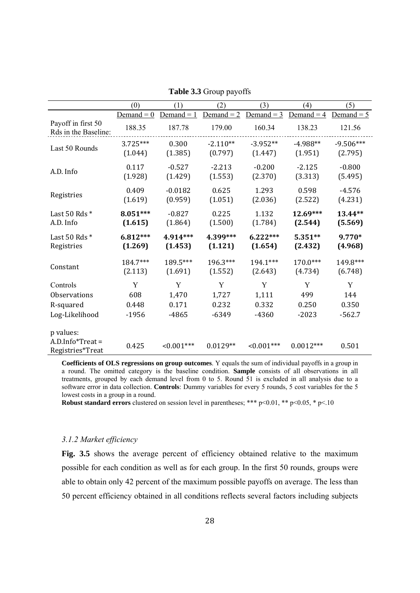|                                                      | (0)          | (1)          | (2)          | (3)           | (4)          | (5)          |
|------------------------------------------------------|--------------|--------------|--------------|---------------|--------------|--------------|
|                                                      | Demand $= 0$ | Demand $= 1$ | Demand $= 2$ | Demand $=$ 3  | Demand = $4$ | Demand $= 5$ |
| Payoff in first 50<br>Rds in the Baseline:           | 188.35       | 187.78       | 179.00       | 160.34        | 138.23       | 121.56       |
| Last 50 Rounds                                       | 3.725***     | 0.300        | $-2.110**$   | $-3.952**$    | $-4.988**$   | $-9.506***$  |
|                                                      | (1.044)      | (1.385)      | (0.797)      | (1.447)       | (1.951)      | (2.795)      |
| A.D. Info                                            | 0.117        | $-0.527$     | $-2.213$     | $-0.200$      | $-2.125$     | $-0.800$     |
|                                                      | (1.928)      | (1.429)      | (1.553)      | (2.370)       | (3.313)      | (5.495)      |
| Registries                                           | 0.409        | $-0.0182$    | 0.625        | 1.293         | 0.598        | $-4.576$     |
|                                                      | (1.619)      | (0.959)      | (1.051)      | (2.036)       | (2.522)      | (4.231)      |
| Last 50 Rds *                                        | $8.051***$   | $-0.827$     | 0.225        | 1.132         | 12.69***     | 13.44**      |
| A.D. Info                                            | (1.615)      | (1.864)      | (1.500)      | (1.784)       | (2.544)      | (5.569)      |
| Last 50 Rds *                                        | $6.812***$   | 4.914***     | 4.399***     | $6.222***$    | 5.351**      | 9.770*       |
| Registries                                           | (1.269)      | (1.453)      | (1.121)      | (1.654)       | (2.432)      | (4.968)      |
| Constant                                             | 184.7***     | 189.5***     | 196.3***     | 194.1***      | 170.0***     | 149.8***     |
|                                                      | (2.113)      | (1.691)      | (1.552)      | (2.643)       | (4.734)      | (6.748)      |
| Controls                                             | Y            | Y            | Y            | Y             | Y            | Y            |
| <b>Observations</b>                                  | 608          | 1,470        | 1,727        | 1,111         | 499          | 144          |
| R-squared                                            | 0.448        | 0.171        | 0.232        | 0.332         | 0.250        | 0.350        |
| Log-Likelihood                                       | $-1956$      | $-4865$      | $-6349$      | $-4360$       | $-2023$      | $-562.7$     |
| p values:<br>$A.D.$ Info*Treat =<br>Registries*Treat | 0.425        | $<0.001***$  | $0.0129**$   | $< 0.001$ *** | $0.0012***$  | 0.501        |

**Table 3.3** Group payoffs

**Coefficients of OLS regressions on group outcomes**. Y equals the sum of individual payoffs in a group in a round. The omitted category is the baseline condition. **Sample** consists of all observations in all treatments, grouped by each demand level from 0 to 5. Round 51 is excluded in all analysis due to a software error in data collection. **Controls**: Dummy variables for every 5 rounds, 5 cost variables for the 5 lowest costs in a group in a round.

**Robust standard errors** clustered on session level in parentheses; \*\*\*  $p<0.01$ , \*\*  $p<0.05$ , \*  $p<10$ 

#### *3.1.2 Market efficiency*

Fig. 3.5 shows the average percent of efficiency obtained relative to the maximum possible for each condition as well as for each group. In the first 50 rounds, groups were able to obtain only 42 percent of the maximum possible payoffs on average. The less than 50 percent efficiency obtained in all conditions reflects several factors including subjects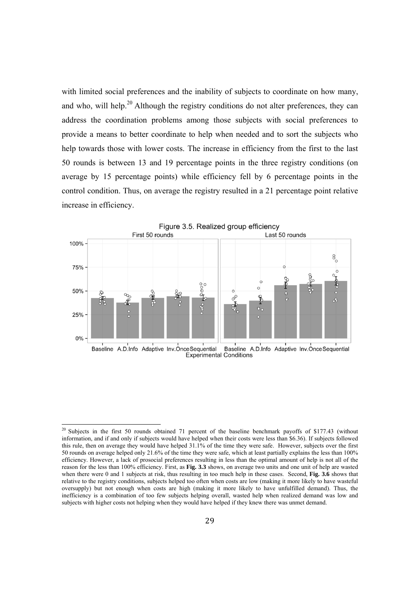with limited social preferences and the inability of subjects to coordinate on how many, and who, will help.<sup>20</sup> Although the registry conditions do not alter preferences, they can address the coordination problems among those subjects with social preferences to provide a means to better coordinate to help when needed and to sort the subjects who help towards those with lower costs. The increase in efficiency from the first to the last 50 rounds is between 13 and 19 percentage points in the three registry conditions (on average by 15 percentage points) while efficiency fell by 6 percentage points in the control condition. Thus, on average the registry resulted in a 21 percentage point relative increase in efficiency.



<sup>&</sup>lt;sup>20</sup> Subjects in the first 50 rounds obtained 71 percent of the baseline benchmark payoffs of \$177.43 (without information, and if and only if subjects would have helped when their costs were less than \$6.36). If subjects followed this rule, then on average they would have helped 31.1% of the time they were safe. However, subjects over the first 50 rounds on average helped only 21.6% of the time they were safe, which at least partially explains the less than 100% efficiency. However, a lack of prosocial preferences resulting in less than the optimal amount of help is not all of the reason for the less than 100% efficiency. First, as **Fig. 3.3** shows, on average two units and one unit of help are wasted when there were 0 and 1 subjects at risk, thus resulting in too much help in these cases. Second, **Fig. 3.6** shows that relative to the registry conditions, subjects helped too often when costs are low (making it more likely to have wasteful oversupply) but not enough when costs are high (making it more likely to have unfulfilled demand). Thus, the inefficiency is a combination of too few subjects helping overall, wasted help when realized demand was low and subjects with higher costs not helping when they would have helped if they knew there was unmet demand.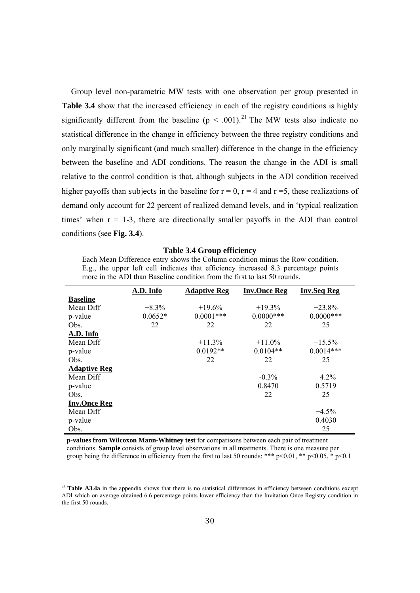Group level non-parametric MW tests with one observation per group presented in Table 3.4 show that the increased efficiency in each of the registry conditions is highly significantly different from the baseline ( $p \le 0.001$ ).<sup>21</sup> The MW tests also indicate no statistical difference in the change in efficiency between the three registry conditions and only marginally significant (and much smaller) difference in the change in the efficiency between the baseline and ADI conditions. The reason the change in the ADI is small relative to the control condition is that, although subjects in the ADI condition received higher payoffs than subjects in the baseline for  $r = 0$ ,  $r = 4$  and  $r = 5$ , these realizations of demand only account for 22 percent of realized demand levels, and in 'typical realization times' when  $r = 1-3$ , there are directionally smaller payoffs in the ADI than control conditions (see **Fig. 3.4**).

| <b>Table 3.4 Group efficiency</b> |
|-----------------------------------|
|-----------------------------------|

Each Mean Difference entry shows the Column condition minus the Row condition. E.g., the upper left cell indicates that efficiency increased 8.3 percentage points more in the ADI than Baseline condition from the first to last 50 rounds.

|                     | A.D. Info | <b>Adaptive Reg</b> | <b>Inv.Once Reg</b> | <b>Inv.Seq Reg</b> |
|---------------------|-----------|---------------------|---------------------|--------------------|
| <b>Baseline</b>     |           |                     |                     |                    |
| Mean Diff           | $+8.3\%$  | $+19.6%$            | $+19.3\%$           | $+23.8%$           |
| p-value             | $0.0652*$ | $0.0001***$         | $0.0000$ ***        | $0.0000$ ***       |
| Obs.                | 22        | 22                  | 22                  | 25                 |
| A.D. Info           |           |                     |                     |                    |
| Mean Diff           |           | $+11.3%$            | $+11.0\%$           | $+15.5%$           |
| p-value             |           | $0.0192**$          | $0.0104**$          | $0.0014***$        |
| Obs.                |           | 22                  | 22                  | 25                 |
| <b>Adaptive Reg</b> |           |                     |                     |                    |
| Mean Diff           |           |                     | $-0.3\%$            | $+4.2%$            |
| p-value             |           |                     | 0.8470              | 0.5719             |
| Obs.                |           |                     | 22                  | 25                 |
| <b>Inv.Once Reg</b> |           |                     |                     |                    |
| Mean Diff           |           |                     |                     | $+4.5%$            |
| p-value             |           |                     |                     | 0.4030             |
| Obs.                |           |                     |                     | 25                 |

**p-values from Wilcoxon Mann-Whitney test** for comparisons between each pair of treatment conditions. **Sample** consists of group level observations in all treatments. There is one measure per group being the difference in efficiency from the first to last 50 rounds: \*\*\* p<0.01, \*\* p<0.05, \* p<0.1

<sup>&</sup>lt;sup>21</sup> **Table A3.4a** in the appendix shows that there is no statistical differences in efficiency between conditions except ADI which on average obtained 6.6 percentage points lower efficiency than the Invitation Once Registry condition in the first 50 rounds.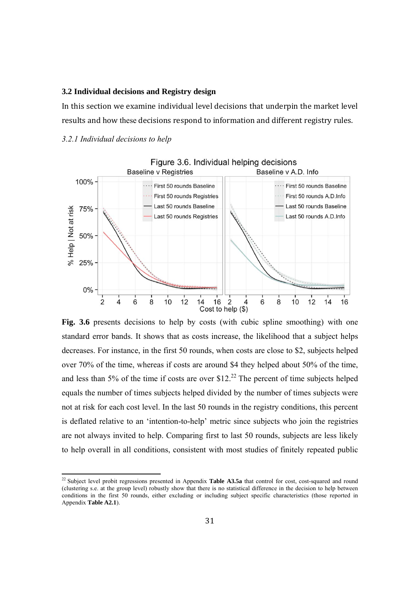#### **3.2 Individual decisions and Registry design**

In this section we examine individual level decisions that underpin the market level results and how these decisions respond to information and different registry rules.

#### *3.2.1 Individual decisions to help*



**Fig. 3.6** presents decisions to help by costs (with cubic spline smoothing) with one standard error bands. It shows that as costs increase, the likelihood that a subject helps decreases. For instance, in the first 50 rounds, when costs are close to \$2, subjects helped over 70% of the time, whereas if costs are around \$4 they helped about 50% of the time, and less than 5% of the time if costs are over  $$12<sup>22</sup>$  The percent of time subjects helped equals the number of times subjects helped divided by the number of times subjects were not at risk for each cost level. In the last 50 rounds in the registry conditions, this percent is deflated relative to an 'intention-to-help' metric since subjects who join the registries are not always invited to help. Comparing first to last 50 rounds, subjects are less likely to help overall in all conditions, consistent with most studies of finitely repeated public

<sup>22</sup> Subject level probit regressions presented in Appendix **Table A3.5a** that control for cost, cost-squared and round (clustering s.e. at the group level) robustly show that there is no statistical difference in the decision to help between conditions in the first 50 rounds, either excluding or including subject specific characteristics (those reported in Appendix **Table A2.1**).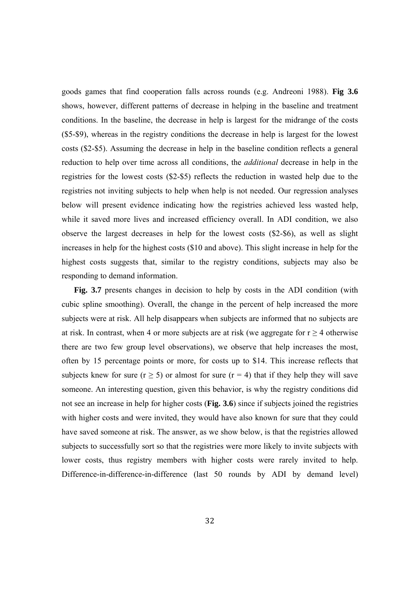goods games that find cooperation falls across rounds (e.g. Andreoni 1988). **Fig 3.6** shows, however, different patterns of decrease in helping in the baseline and treatment conditions. In the baseline, the decrease in help is largest for the midrange of the costs (\$5-\$9), whereas in the registry conditions the decrease in help is largest for the lowest costs (\$2-\$5). Assuming the decrease in help in the baseline condition reflects a general reduction to help over time across all conditions, the *additional* decrease in help in the registries for the lowest costs (\$2-\$5) reflects the reduction in wasted help due to the registries not inviting subjects to help when help is not needed. Our regression analyses below will present evidence indicating how the registries achieved less wasted help, while it saved more lives and increased efficiency overall. In ADI condition, we also observe the largest decreases in help for the lowest costs (\$2-\$6), as well as slight increases in help for the highest costs (\$10 and above). This slight increase in help for the highest costs suggests that, similar to the registry conditions, subjects may also be responding to demand information.

**Fig. 3.7** presents changes in decision to help by costs in the ADI condition (with cubic spline smoothing). Overall, the change in the percent of help increased the more subjects were at risk. All help disappears when subjects are informed that no subjects are at risk. In contrast, when 4 or more subjects are at risk (we aggregate for  $r \ge 4$  otherwise there are two few group level observations), we observe that help increases the most, often by 15 percentage points or more, for costs up to \$14. This increase reflects that subjects knew for sure ( $r \ge 5$ ) or almost for sure ( $r = 4$ ) that if they help they will save someone. An interesting question, given this behavior, is why the registry conditions did not see an increase in help for higher costs (**Fig. 3.6**) since if subjects joined the registries with higher costs and were invited, they would have also known for sure that they could have saved someone at risk. The answer, as we show below, is that the registries allowed subjects to successfully sort so that the registries were more likely to invite subjects with lower costs, thus registry members with higher costs were rarely invited to help. Difference-in-difference-in-difference (last 50 rounds by ADI by demand level)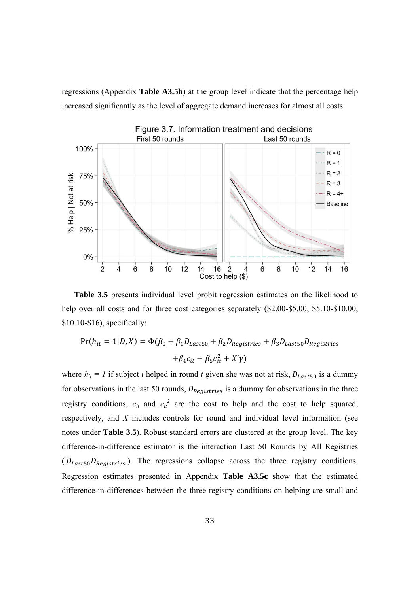regressions (Appendix **Table A3.5b**) at the group level indicate that the percentage help increased significantly as the level of aggregate demand increases for almost all costs.



**Table 3.5** presents individual level probit regression estimates on the likelihood to help over all costs and for three cost categories separately  $(\$2.00-\$5.00, \$5.10-\$10.00,$ \$10.10-\$16), specifically:

$$
Pr(h_{it} = 1|D, X) = \Phi(\beta_0 + \beta_1 D_{Last50} + \beta_2 D_{Registries} + \beta_3 D_{Last50} D_{Registries}
$$

$$
+ \beta_4 c_{it} + \beta_5 c_{it}^2 + X'\gamma)
$$

where  $h_{it} = 1$  if subject *i* helped in round *t* given she was not at risk,  $D_{Last50}$  is a dummy for observations in the last 50 rounds,  $D_{Realistics}$  is a dummy for observations in the three registry conditions,  $c_{it}$  and  $c_{it}^2$  are the cost to help and the cost to help squared, respectively, and *X* includes controls for round and individual level information (see notes under **Table 3.5**). Robust standard errors are clustered at the group level. The key difference-in-difference estimator is the interaction Last 50 Rounds by All Registries  $(D_{Last50}D_{Realistics})$ . The regressions collapse across the three registry conditions. Regression estimates presented in Appendix **Table A3.5c** show that the estimated difference-in-differences between the three registry conditions on helping are small and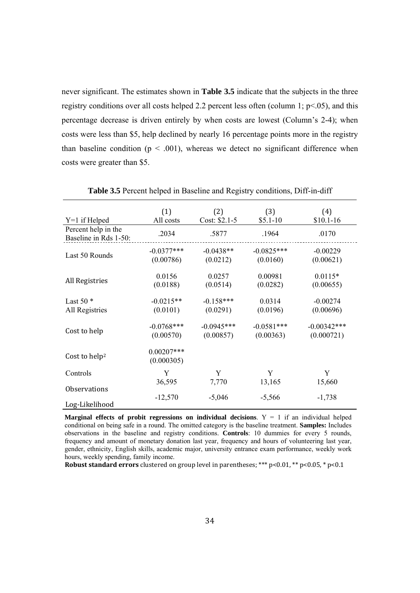never significant. The estimates shown in **Table 3.5** indicate that the subjects in the three registry conditions over all costs helped 2.2 percent less often (column 1;  $p<.05$ ), and this percentage decrease is driven entirely by when costs are lowest (Column's 2-4); when costs were less than \$5, help declined by nearly 16 percentage points more in the registry than baseline condition ( $p < .001$ ), whereas we detect no significant difference when costs were greater than \$5.

| $Y=1$ if Helped                              | (1)<br>All costs           | (2)<br>Cost: \$2.1-5      | (3)<br>$$5.1-10$          | (4)<br>$$10.1-16$           |
|----------------------------------------------|----------------------------|---------------------------|---------------------------|-----------------------------|
| Percent help in the<br>Baseline in Rds 1-50: | .2034                      | .5877                     | .1964                     | .0170                       |
| Last 50 Rounds                               | $-0.0377***$<br>(0.00786)  | $-0.0438**$<br>(0.0212)   | $-0.0825***$<br>(0.0160)  | $-0.00229$<br>(0.00621)     |
| All Registries                               | 0.0156<br>(0.0188)         | 0.0257<br>(0.0514)        | 0.00981<br>(0.0282)       | $0.0115*$<br>(0.00655)      |
| Last 50 $*$<br>All Registries                | $-0.0215**$<br>(0.0101)    | $-0.158***$<br>(0.0291)   | 0.0314<br>(0.0196)        | $-0.00274$<br>(0.00696)     |
| Cost to help                                 | $-0.0768$ ***<br>(0.00570) | $-0.0945***$<br>(0.00857) | $-0.0581***$<br>(0.00363) | $-0.00342***$<br>(0.000721) |
| Cost to help <sup>2</sup>                    | $0.00207***$<br>(0.000305) |                           |                           |                             |
| Controls                                     | Y                          | Y                         | Y                         | Y                           |
|                                              | 36,595                     | 7,770                     | 13,165                    | 15,660                      |
| <b>Observations</b><br>Log-Likelihood        | $-12,570$                  | $-5,046$                  | $-5,566$                  | $-1,738$                    |

**Table 3.5** Percent helped in Baseline and Registry conditions, Diff-in-diff

**Marginal effects of probit regressions on individual decisions**.  $Y = 1$  if an individual helped conditional on being safe in a round. The omitted category is the baseline treatment. **Samples:** Includes observations in the baseline and registry conditions. **Controls**: 10 dummies for every 5 rounds, frequency and amount of monetary donation last year, frequency and hours of volunteering last year, gender, ethnicity, English skills, academic major, university entrance exam performance, weekly work hours, weekly spending, family income.

**Robust standard errors** clustered on group level in parentheses; \*\*\*  $p<0.01$ , \*\*  $p<0.05$ , \*  $p<0.1$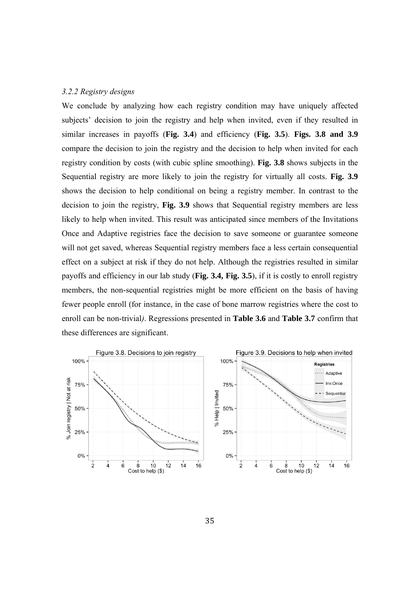#### *3.2.2 Registry designs*

We conclude by analyzing how each registry condition may have uniquely affected subjects' decision to join the registry and help when invited, even if they resulted in similar increases in payoffs (**Fig. 3.4**) and efficiency (**Fig. 3.5**). **Figs. 3.8 and 3.9** compare the decision to join the registry and the decision to help when invited for each registry condition by costs (with cubic spline smoothing). **Fig. 3.8** shows subjects in the Sequential registry are more likely to join the registry for virtually all costs. **Fig. 3.9** shows the decision to help conditional on being a registry member. In contrast to the decision to join the registry, **Fig. 3.9** shows that Sequential registry members are less likely to help when invited. This result was anticipated since members of the Invitations Once and Adaptive registries face the decision to save someone or guarantee someone will not get saved, whereas Sequential registry members face a less certain consequential effect on a subject at risk if they do not help. Although the registries resulted in similar payoffs and efficiency in our lab study (**Fig. 3.4, Fig. 3.5**), if it is costly to enroll registry members, the non-sequential registries might be more efficient on the basis of having fewer people enroll (for instance, in the case of bone marrow registries where the cost to enroll can be non-trivial*)*. Regressions presented in **Table 3.6** and **Table 3.7** confirm that these differences are significant.

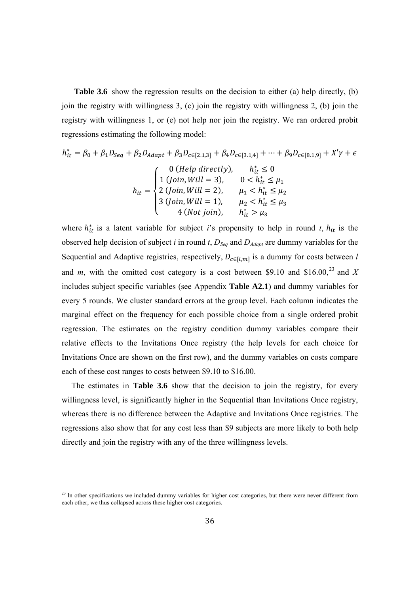**Table 3.6** show the regression results on the decision to either (a) help directly, (b) join the registry with willingness 3, (c) join the registry with willingness 2, (b) join the registry with willingness 1, or (e) not help nor join the registry. We ran ordered probit regressions estimating the following model:

$$
h_{it}^{*} = \beta_{0} + \beta_{1}D_{Seq} + \beta_{2}D_{Adapt} + \beta_{3}D_{c\in[2.1,3]} + \beta_{4}D_{c\in[3.1,4]} + \cdots + \beta_{9}D_{c\in[8.1,9]} + X'\gamma + \epsilon
$$
  

$$
h_{it} = \begin{cases} 0 \ (Help \ directly), & h_{it}^{*} \le 0 \\ 1 \ (Join, Will = 3), & 0 < h_{it}^{*} \le \mu_{1} \\ 2 \ (Join, Will = 2), & \mu_{1} < h_{it}^{*} \le \mu_{2} \\ 3 \ (Join, Will = 1), & \mu_{2} < h_{it}^{*} \le \mu_{3} \end{cases}
$$

 $4$  (Not join),  $h_{it}^* > \mu_3$ 

ە

 

where  $h_{it}^*$  is a latent variable for subject *i*'s propensity to help in round *t*,  $h_{it}$  is the observed help decision of subject *i* in round *t*, *DSeq* and *DAdapt* are dummy variables for the Sequential and Adaptive registries, respectively,  $D_{c \in [l,m]}$  is a dummy for costs between *l* and *m*, with the omitted cost category is a cost between \$9.10 and \$16.00,<sup>23</sup> and *X* includes subject specific variables (see Appendix **Table A2.1**) and dummy variables for every 5 rounds. We cluster standard errors at the group level. Each column indicates the marginal effect on the frequency for each possible choice from a single ordered probit regression. The estimates on the registry condition dummy variables compare their relative effects to the Invitations Once registry (the help levels for each choice for Invitations Once are shown on the first row), and the dummy variables on costs compare each of these cost ranges to costs between \$9.10 to \$16.00.

The estimates in **Table 3.6** show that the decision to join the registry, for every willingness level, is significantly higher in the Sequential than Invitations Once registry, whereas there is no difference between the Adaptive and Invitations Once registries. The regressions also show that for any cost less than \$9 subjects are more likely to both help directly and join the registry with any of the three willingness levels.

 $2<sup>23</sup>$  In other specifications we included dummy variables for higher cost categories, but there were never different from each other, we thus collapsed across these higher cost categories.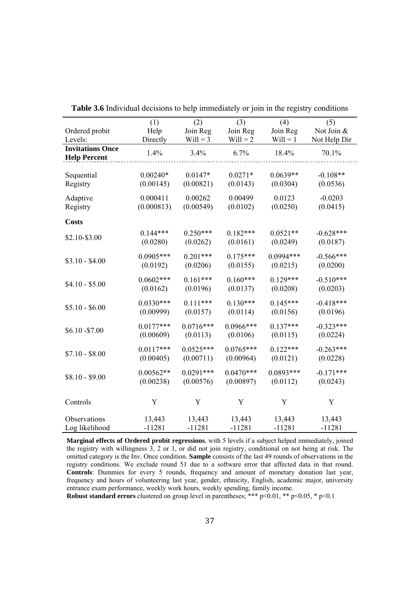|                         | (1)         | (2)         | (3)         | (4)         | (5)          |
|-------------------------|-------------|-------------|-------------|-------------|--------------|
| Ordered probit          | Help        | Join Reg    | Join Reg    | Join Reg    | Not Join &   |
| Levels:                 | Directly    | $Will = 3$  | $Will = 2$  | $Will = 1$  | Not Help Dir |
| <b>Invitations Once</b> |             |             |             |             |              |
| <b>Help Percent</b>     | 1.4%        | 3.4%        | 6.7%        | 18.4%       | 70.1%        |
|                         |             |             |             |             |              |
| Sequential              | $0.00240*$  | $0.0147*$   | $0.0271*$   | $0.0639**$  | $-0.108**$   |
| Registry                | (0.00145)   | (0.00821)   | (0.0143)    | (0.0304)    | (0.0536)     |
|                         |             |             |             |             |              |
| Adaptive                | 0.000411    | 0.00262     | 0.00499     | 0.0123      | $-0.0203$    |
| Registry                | (0.000813)  | (0.00549)   | (0.0102)    | (0.0250)    | (0.0415)     |
|                         |             |             |             |             |              |
| <b>Costs</b>            |             |             |             |             |              |
|                         | $0.144***$  | $0.250***$  | $0.182***$  | $0.0521**$  | $-0.628***$  |
| \$2.10-\$3.00           |             |             |             |             |              |
|                         | (0.0280)    | (0.0262)    | (0.0161)    | (0.0249)    | (0.0187)     |
|                         | $0.0905***$ | $0.201***$  | $0.175***$  | $0.0994***$ | $-0.566***$  |
| $$3.10 - $4.00$         | (0.0192)    | (0.0206)    | (0.0155)    | (0.0215)    | (0.0200)     |
|                         |             |             |             |             |              |
|                         | $0.0602***$ | $0.161***$  | $0.160***$  | $0.129***$  | $-0.510***$  |
| $$4.10 - $5.00$         | (0.0162)    | (0.0196)    | (0.0137)    | (0.0208)    | (0.0203)     |
|                         |             |             |             |             |              |
| $$5.10 - $6.00$         | $0.0330***$ | $0.111***$  | $0.130***$  | $0.145***$  | $-0.418***$  |
|                         | (0.00999)   | (0.0157)    | (0.0114)    | (0.0156)    | (0.0196)     |
|                         |             |             |             |             |              |
| \$6.10 - \$7.00         | $0.0177***$ | $0.0716***$ | $0.0966***$ | $0.137***$  | $-0.323***$  |
|                         | (0.00609)   | (0.0113)    | (0.0106)    | (0.0115)    | (0.0224)     |
|                         | $0.0117***$ | $0.0525***$ | $0.0765***$ | $0.122***$  | $-0.263***$  |
| $$7.10 - $8.00$         |             |             |             |             |              |
|                         | (0.00405)   | (0.00711)   | (0.00964)   | (0.0121)    | (0.0228)     |
|                         | $0.00562**$ | $0.0291***$ | $0.0470***$ | $0.0893***$ | $-0.171***$  |
| $$8.10 - $9.00$         | (0.00238)   | (0.00576)   | (0.00897)   | (0.0112)    | (0.0243)     |
|                         |             |             |             |             |              |
|                         |             |             |             |             |              |
| Controls                | $\mathbf Y$ | Y           | $\mathbf Y$ | Y           | $\mathbf Y$  |
|                         |             |             |             |             |              |
| Observations            | 13,443      | 13,443      | 13,443      | 13,443      | 13,443       |
| Log likelihood          | $-11281$    | $-11281$    | $-11281$    | $-11281$    | $-11281$     |

**Table 3.6** Individual decisions to help immediately or join in the registry conditions

**Marginal effects of Ordered probit regressions**, with 5 levels if a subject helped immediately, joined the registry with willingness 3, 2 or 1, or did not join registry, conditional on not being at risk. The omitted category is the Inv. Once condition. **Sample** consists of the last 49 rounds of observations in the registry conditions. We exclude round 51 due to a software error that affected data in that round. **Controls**: Dummies for every 5 rounds, frequency and amount of monetary donation last year, frequency and hours of volunteering last year, gender, ethnicity, English, academic major, university entrance exam performance, weekly work hours, weekly spending, family income.

**Robust standard errors** clustered on group level in parentheses; \*\*\* p<0.01, \*\* p<0.05, \* p<0.1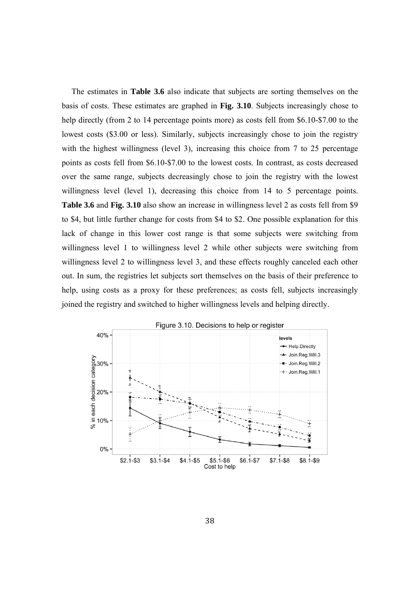The estimates in **Table 3.6** also indicate that subjects are sorting themselves on the basis of costs. These estimates are graphed in **Fig. 3.10**. Subjects increasingly chose to help directly (from 2 to 14 percentage points more) as costs fell from \$6.10-\$7.00 to the lowest costs (\$3.00 or less). Similarly, subjects increasingly chose to join the registry with the highest willingness (level 3), increasing this choice from 7 to 25 percentage points as costs fell from \$6.10-\$7.00 to the lowest costs. In contrast, as costs decreased over the same range, subjects decreasingly chose to join the registry with the lowest willingness level (level 1), decreasing this choice from 14 to 5 percentage points. **Table 3.6** and **Fig. 3.10** also show an increase in willingness level 2 as costs fell from \$9 to \$4, but little further change for costs from \$4 to \$2. One possible explanation for this lack of change in this lower cost range is that some subjects were switching from willingness level 1 to willingness level 2 while other subjects were switching from willingness level 2 to willingness level 3, and these effects roughly canceled each other out. In sum, the registries let subjects sort themselves on the basis of their preference to help, using costs as a proxy for these preferences; as costs fell, subjects increasingly joined the registry and switched to higher willingness levels and helping directly.

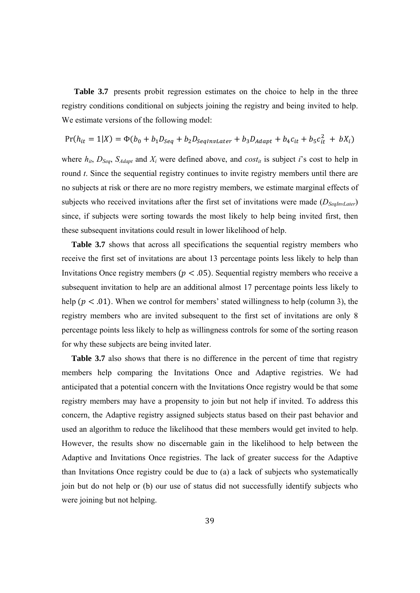**Table 3.7** presents probit regression estimates on the choice to help in the three registry conditions conditional on subjects joining the registry and being invited to help. We estimate versions of the following model:

$$
Pr(h_{it} = 1|X) = \Phi(b_0 + b_1 D_{Seq} + b_2 D_{SeqInvLater} + b_3 D_{Adapt} + b_4 c_{it} + b_5 c_{it}^2 + bX_i)
$$

where  $h_{it}$ ,  $D_{Seq}$ ,  $S_{Adapt}$  and  $X_i$  were defined above, and  $cost_{it}$  is subject *i*'s cost to help in round *t*. Since the sequential registry continues to invite registry members until there are no subjects at risk or there are no more registry members, we estimate marginal effects of subjects who received invitations after the first set of invitations were made ( $D_{SedlmLater}$ ) since, if subjects were sorting towards the most likely to help being invited first, then these subsequent invitations could result in lower likelihood of help.

**Table 3.7** shows that across all specifications the sequential registry members who receive the first set of invitations are about 13 percentage points less likely to help than Invitations Once registry members ( $p < .05$ ). Sequential registry members who receive a subsequent invitation to help are an additional almost 17 percentage points less likely to help ( $p < .01$ ). When we control for members' stated willingness to help (column 3), the registry members who are invited subsequent to the first set of invitations are only 8 percentage points less likely to help as willingness controls for some of the sorting reason for why these subjects are being invited later.

**Table 3.7** also shows that there is no difference in the percent of time that registry members help comparing the Invitations Once and Adaptive registries. We had anticipated that a potential concern with the Invitations Once registry would be that some registry members may have a propensity to join but not help if invited. To address this concern, the Adaptive registry assigned subjects status based on their past behavior and used an algorithm to reduce the likelihood that these members would get invited to help. However, the results show no discernable gain in the likelihood to help between the Adaptive and Invitations Once registries. The lack of greater success for the Adaptive than Invitations Once registry could be due to (a) a lack of subjects who systematically join but do not help or (b) our use of status did not successfully identify subjects who were joining but not helping.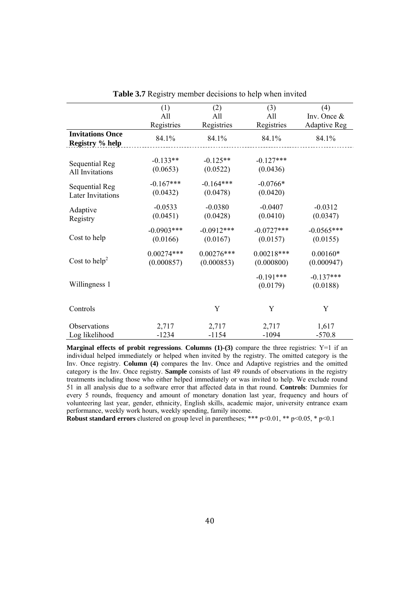|                                            | (1)          | (2)          | (3)                     | (4)                     |
|--------------------------------------------|--------------|--------------|-------------------------|-------------------------|
|                                            | All          | All          | All                     | Inv. Once &             |
|                                            | Registries   | Registries   | Registries              | <b>Adaptive Reg</b>     |
| <b>Invitations Once</b><br>Registry % help | 84.1%        | 84.1%        | 84.1%                   | 84.1%                   |
| Sequential Reg                             | $-0.133**$   | $-0.125**$   | $-0.127***$             |                         |
| All Invitations                            | (0.0653)     | (0.0522)     | (0.0436)                |                         |
| Sequential Reg                             | $-0.167***$  | $-0.164***$  | $-0.0766*$              |                         |
| <b>Later Invitations</b>                   | (0.0432)     | (0.0478)     | (0.0420)                |                         |
| Adaptive                                   | $-0.0533$    | $-0.0380$    | $-0.0407$               | $-0.0312$               |
| Registry                                   | (0.0451)     | (0.0428)     | (0.0410)                | (0.0347)                |
| Cost to help                               | $-0.0903***$ | $-0.0912***$ | $-0.0727***$            | $-0.0565***$            |
|                                            | (0.0166)     | (0.0167)     | (0.0157)                | (0.0155)                |
| Cost to help <sup>2</sup>                  | $0.00274***$ | $0.00276***$ | $0.00218***$            | $0.00160*$              |
|                                            | (0.000857)   | (0.000853)   | (0.000800)              | (0.000947)              |
| Willingness 1                              |              |              | $-0.191***$<br>(0.0179) | $-0.137***$<br>(0.0188) |
| Controls                                   |              | Y            | Y                       | Y                       |
| Observations                               | 2,717        | 2,717        | 2,717                   | 1,617                   |
| Log likelihood                             | $-1234$      | $-1154$      | $-1094$                 | $-570.8$                |

**Table 3.7** Registry member decisions to help when invited

**Marginal effects of probit regressions. Columns (1)-(3)** compare the three registries: Y=1 if an individual helped immediately or helped when invited by the registry. The omitted category is the Inv. Once registry. **Column (4)** compares the Inv. Once and Adaptive registries and the omitted category is the Inv. Once registry. **Sample** consists of last 49 rounds of observations in the registry treatments including those who either helped immediately or was invited to help. We exclude round 51 in all analysis due to a software error that affected data in that round. **Controls**: Dummies for every 5 rounds, frequency and amount of monetary donation last year, frequency and hours of volunteering last year, gender, ethnicity, English skills, academic major, university entrance exam performance, weekly work hours, weekly spending, family income.

**Robust standard errors** clustered on group level in parentheses; \*\*\*  $p<0.01$ , \*\*  $p<0.05$ , \*  $p<0.1$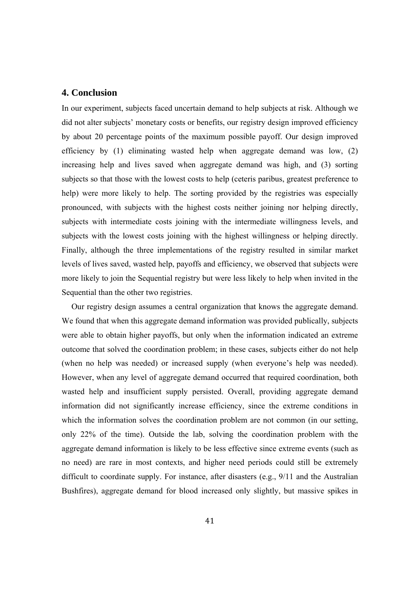#### **4. Conclusion**

In our experiment, subjects faced uncertain demand to help subjects at risk. Although we did not alter subjects' monetary costs or benefits, our registry design improved efficiency by about 20 percentage points of the maximum possible payoff. Our design improved efficiency by (1) eliminating wasted help when aggregate demand was low, (2) increasing help and lives saved when aggregate demand was high, and (3) sorting subjects so that those with the lowest costs to help (ceteris paribus, greatest preference to help) were more likely to help. The sorting provided by the registries was especially pronounced, with subjects with the highest costs neither joining nor helping directly, subjects with intermediate costs joining with the intermediate willingness levels, and subjects with the lowest costs joining with the highest willingness or helping directly. Finally, although the three implementations of the registry resulted in similar market levels of lives saved, wasted help, payoffs and efficiency, we observed that subjects were more likely to join the Sequential registry but were less likely to help when invited in the Sequential than the other two registries.

Our registry design assumes a central organization that knows the aggregate demand. We found that when this aggregate demand information was provided publically, subjects were able to obtain higher payoffs, but only when the information indicated an extreme outcome that solved the coordination problem; in these cases, subjects either do not help (when no help was needed) or increased supply (when everyone's help was needed). However, when any level of aggregate demand occurred that required coordination, both wasted help and insufficient supply persisted. Overall, providing aggregate demand information did not significantly increase efficiency, since the extreme conditions in which the information solves the coordination problem are not common (in our setting, only 22% of the time). Outside the lab, solving the coordination problem with the aggregate demand information is likely to be less effective since extreme events (such as no need) are rare in most contexts, and higher need periods could still be extremely difficult to coordinate supply. For instance, after disasters (e.g., 9/11 and the Australian Bushfires), aggregate demand for blood increased only slightly, but massive spikes in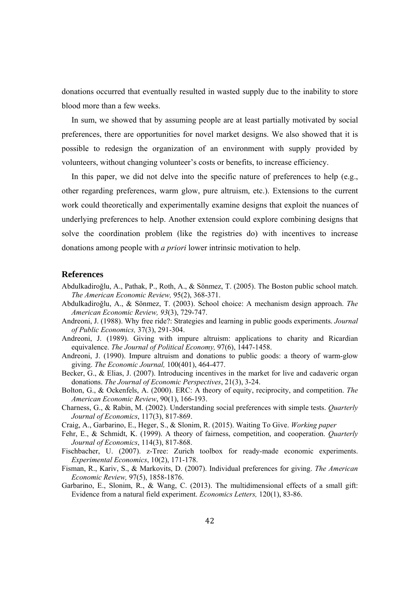donations occurred that eventually resulted in wasted supply due to the inability to store blood more than a few weeks.

In sum, we showed that by assuming people are at least partially motivated by social preferences, there are opportunities for novel market designs. We also showed that it is possible to redesign the organization of an environment with supply provided by volunteers, without changing volunteer's costs or benefits, to increase efficiency.

In this paper, we did not delve into the specific nature of preferences to help (e.g., other regarding preferences, warm glow, pure altruism, etc.). Extensions to the current work could theoretically and experimentally examine designs that exploit the nuances of underlying preferences to help. Another extension could explore combining designs that solve the coordination problem (like the registries do) with incentives to increase donations among people with *a priori* lower intrinsic motivation to help.

#### **References**

- Abdulkadiroğlu, A., Pathak, P., Roth, A., & Sönmez, T. (2005). The Boston public school match. *The American Economic Review,* 95(2), 368-371.
- Abdulkadiroğlu, A., & Sönmez, T. (2003). School choice: A mechanism design approach. *The American Economic Review, 93*(3), 729-747.
- Andreoni, J. (1988). Why free ride?: Strategies and learning in public goods experiments. *Journal of Public Economics,* 37(3), 291-304.
- Andreoni, J. (1989). Giving with impure altruism: applications to charity and Ricardian equivalence. *The Journal of Political Economy,* 97(6), 1447-1458.
- Andreoni, J. (1990). Impure altruism and donations to public goods: a theory of warm-glow giving. *The Economic Journal,* 100(401), 464-477.
- Becker, G., & Elias, J. (2007). Introducing incentives in the market for live and cadaveric organ donations. *The Journal of Economic Perspectives*, 21(3), 3-24.
- Bolton, G., & Ockenfels, A. (2000). ERC: A theory of equity, reciprocity, and competition. *The American Economic Review*, 90(1), 166-193.
- Charness, G., & Rabin, M. (2002). Understanding social preferences with simple tests. *Quarterly Journal of Economics*, 117(3), 817-869.
- Craig, A., Garbarino, E., Heger, S., & Slonim, R. (2015). Waiting To Give. *Working paper*
- Fehr, E., & Schmidt, K. (1999). A theory of fairness, competition, and cooperation. *Quarterly Journal of Economics*, 114(3), 817-868.
- Fischbacher, U. (2007). z-Tree: Zurich toolbox for ready-made economic experiments. *Experimental Economics*, 10(2), 171-178.
- Fisman, R., Kariv, S., & Markovits, D. (2007). Individual preferences for giving. *The American Economic Review,* 97(5), 1858-1876.
- Garbarino, E., Slonim, R., & Wang, C. (2013). The multidimensional effects of a small gift: Evidence from a natural field experiment. *Economics Letters,* 120(1), 83-86.